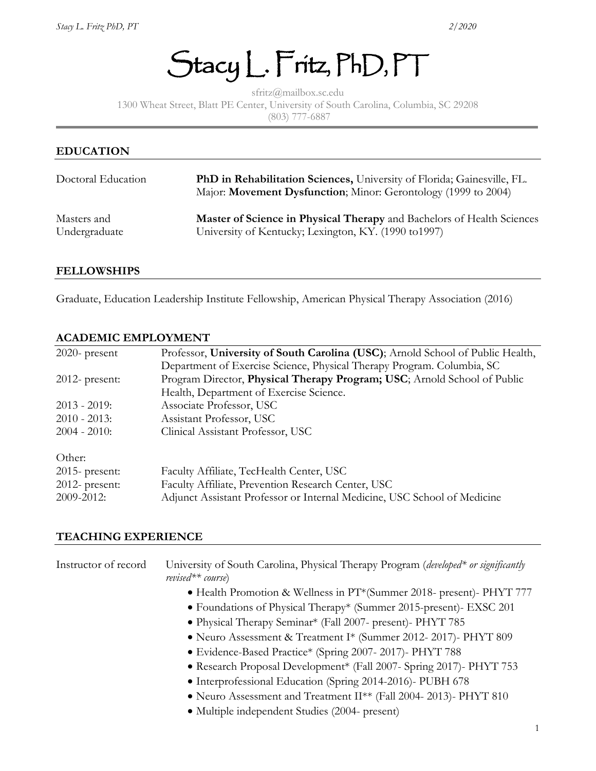Stacy L. Fritz, PhD, PT

sfritz@mailbox.sc.edu 1300 Wheat Street, Blatt PE Center, University of South Carolina, Columbia, SC 29208 (803) 777-6887

# **EDUCATION** Doctoral Education **PhD in Rehabilitation Sciences,** University of Florida; Gainesville, FL. Major: **Movement Dysfunction**; Minor: Gerontology (1999 to 2004) Masters and **Master of Science in Physical Therapy** and Bachelors of Health Sciences Undergraduate University of Kentucky; Lexington, KY. (1990 to1997)

#### **FELLOWSHIPS**

Graduate, Education Leadership Institute Fellowship, American Physical Therapy Association (2016)

#### **ACADEMIC EMPLOYMENT**

| $2020$ - present  | Professor, University of South Carolina (USC); Arnold School of Public Health, |
|-------------------|--------------------------------------------------------------------------------|
|                   | Department of Exercise Science, Physical Therapy Program. Columbia, SC         |
| $2012$ - present: | Program Director, Physical Therapy Program; USC; Arnold School of Public       |
|                   | Health, Department of Exercise Science.                                        |
| $2013 - 2019$ :   | Associate Professor, USC                                                       |
| $2010 - 2013$ :   | Assistant Professor, USC                                                       |
| $2004 - 2010$ :   | Clinical Assistant Professor, USC                                              |
| Other:            |                                                                                |
| $2015$ - present: | Faculty Affiliate, TecHealth Center, USC                                       |
| $2012$ - present: | Faculty Affiliate, Prevention Research Center, USC                             |
| 2009-2012:        | Adjunct Assistant Professor or Internal Medicine, USC School of Medicine       |

#### **TEACHING EXPERIENCE**

| Instructor of record | University of South Carolina, Physical Therapy Program (developed* or significantly<br>$revised** course)$ |
|----------------------|------------------------------------------------------------------------------------------------------------|
|                      | • Health Promotion & Wellness in PT*(Summer 2018- present)- PHYT 777                                       |
|                      | • Foundations of Physical Therapy* (Summer 2015-present)- EXSC 201                                         |
|                      | • Physical Therapy Seminar* (Fall 2007- present)- PHYT 785                                                 |
|                      | • Neuro Assessment & Treatment I* (Summer 2012-2017)- PHYT 809                                             |
|                      | • Evidence-Based Practice* (Spring 2007-2017)- PHYT 788                                                    |
|                      | • Research Proposal Development* (Fall 2007- Spring 2017)- PHYT 753                                        |
|                      | • Interprofessional Education (Spring 2014-2016)- PUBH 678                                                 |
|                      | • Neuro Assessment and Treatment II** (Fall 2004-2013)- PHYT 810                                           |
|                      | • Multiple independent Studies (2004- present)                                                             |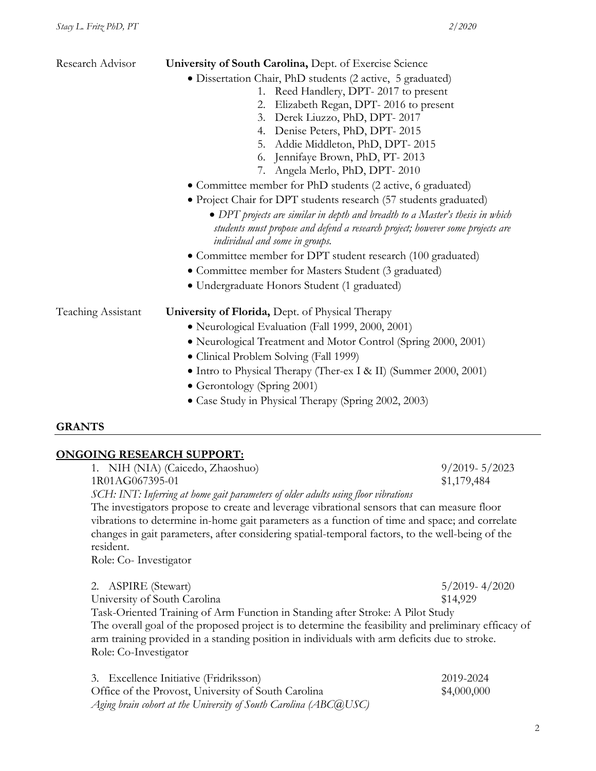| Research Advisor   | University of South Carolina, Dept. of Exercise Science<br>• Dissertation Chair, PhD students (2 active, 5 graduated)<br>Reed Handlery, DPT-2017 to present<br>1.<br>Elizabeth Regan, DPT-2016 to present<br>2.<br>3. Derek Liuzzo, PhD, DPT-2017                      |  |  |  |  |
|--------------------|------------------------------------------------------------------------------------------------------------------------------------------------------------------------------------------------------------------------------------------------------------------------|--|--|--|--|
|                    | 4. Denise Peters, PhD, DPT-2015<br>5. Addie Middleton, PhD, DPT-2015                                                                                                                                                                                                   |  |  |  |  |
|                    | Jennifaye Brown, PhD, PT-2013<br>6.<br>7. Angela Merlo, PhD, DPT-2010                                                                                                                                                                                                  |  |  |  |  |
|                    | • Committee member for PhD students (2 active, 6 graduated)                                                                                                                                                                                                            |  |  |  |  |
|                    | • Project Chair for DPT students research (57 students graduated)<br>• DPT projects are similar in depth and breadth to a Master's thesis in which<br>students must propose and defend a research project; however some projects are<br>individual and some in groups. |  |  |  |  |
|                    | • Committee member for DPT student research (100 graduated)                                                                                                                                                                                                            |  |  |  |  |
|                    | • Committee member for Masters Student (3 graduated)                                                                                                                                                                                                                   |  |  |  |  |
|                    | • Undergraduate Honors Student (1 graduated)                                                                                                                                                                                                                           |  |  |  |  |
| Teaching Assistant | <b>University of Florida, Dept. of Physical Therapy</b>                                                                                                                                                                                                                |  |  |  |  |
|                    | · Neurological Evaluation (Fall 1999, 2000, 2001)                                                                                                                                                                                                                      |  |  |  |  |
|                    | • Neurological Treatment and Motor Control (Spring 2000, 2001)                                                                                                                                                                                                         |  |  |  |  |
|                    | • Clinical Problem Solving (Fall 1999)                                                                                                                                                                                                                                 |  |  |  |  |
|                    | • Intro to Physical Therapy (Ther-ex I & II) (Summer 2000, 2001)                                                                                                                                                                                                       |  |  |  |  |
|                    | • Gerontology (Spring 2001)                                                                                                                                                                                                                                            |  |  |  |  |

• Case Study in Physical Therapy (Spring 2002, 2003)

#### **GRANTS**

## **ONGOING RESEARCH SUPPORT:**

| 1. NIH (NIA) (Caicedo, Zhaoshuo)                                                                                                                                                                                                                                                                                | $9/2019 - 5/2023$ |
|-----------------------------------------------------------------------------------------------------------------------------------------------------------------------------------------------------------------------------------------------------------------------------------------------------------------|-------------------|
| 1R01AG067395-01                                                                                                                                                                                                                                                                                                 | \$1,179,484       |
| SCH: INT: Inferring at home gait parameters of older adults using floor vibrations                                                                                                                                                                                                                              |                   |
| The investigators propose to create and leverage vibrational sensors that can measure floor                                                                                                                                                                                                                     |                   |
| vibrations to determine in-home gait parameters as a function of time and space; and correlate                                                                                                                                                                                                                  |                   |
| changes in gait parameters, after considering spatial-temporal factors, to the well-being of the                                                                                                                                                                                                                |                   |
| resident.                                                                                                                                                                                                                                                                                                       |                   |
| Role: Co-Investigator                                                                                                                                                                                                                                                                                           |                   |
| 2. ASPIRE (Stewart)                                                                                                                                                                                                                                                                                             | $5/2019 - 4/2020$ |
| University of South Carolina                                                                                                                                                                                                                                                                                    | \$14,929          |
|                                                                                                                                                                                                                                                                                                                 |                   |
| Task-Oriented Training of Arm Function in Standing after Stroke: A Pilot Study<br>The overall goal of the proposed project is to determine the feasibility and preliminary efficacy of<br>arm training provided in a standing position in individuals with arm deficits due to stroke.<br>Role: Co-Investigator |                   |
|                                                                                                                                                                                                                                                                                                                 |                   |

| 3. Excellence Initiative (Fridriksson)                               | 2019-2024   |
|----------------------------------------------------------------------|-------------|
| Office of the Provost, University of South Carolina                  | \$4,000,000 |
| Aging brain cohort at the University of South Carolina (ABC $@$ USC) |             |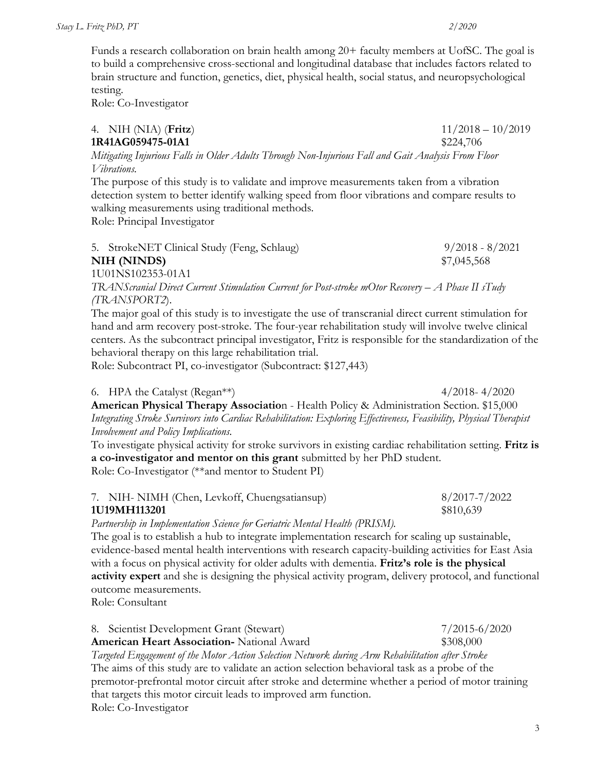Funds a research collaboration on brain health among 20+ faculty members at UofSC. The goal is to build a comprehensive cross-sectional and longitudinal database that includes factors related to brain structure and function, genetics, diet, physical health, social status, and neuropsychological testing.

Role: Co-Investigator

4. NIH (NIA) (**Fritz**) 11/2018 – 10/2019 **1R41AG059475-01A1 \$224,706** *Mitigating Injurious Falls in Older Adults Through Non-Injurious Fall and Gait Analysis From Floor* 

*Vibrations.* The purpose of this study is to validate and improve measurements taken from a vibration

detection system to better identify walking speed from floor vibrations and compare results to walking measurements using traditional methods.

Role: Principal Investigator

| 5. StrokeNET Clinical Study (Feng, Schlaug) | $9/2018 - 8/2021$ |
|---------------------------------------------|-------------------|
| NIH (NINDS)                                 | \$7,045,568       |
| 1U01NS102353-01A1                           |                   |

*TRANScranial Direct Current Stimulation Current for Post-stroke mOtor Recovery – A Phase II sTudy (TRANSPORT2*).

The major goal of this study is to investigate the use of transcranial direct current stimulation for hand and arm recovery post-stroke. The four-year rehabilitation study will involve twelve clinical centers. As the subcontract principal investigator, Fritz is responsible for the standardization of the behavioral therapy on this large rehabilitation trial.

Role: Subcontract PI, co-investigator (Subcontract: \$127,443)

#### 6. HPA the Catalyst (Regan\*\*)  $4/2018 - 4/2020$

**American Physical Therapy Associatio**n - Health Policy & Administration Section. \$15,000 *Integrating Stroke Survivors into Cardiac Rehabilitation: Exploring Effectiveness, Feasibility, Physical Therapist Involvement and Policy Implications.* 

To investigate physical activity for stroke survivors in existing cardiac rehabilitation setting. **Fritz is a co-investigator and mentor on this grant** submitted by her PhD student. Role: Co-Investigator (\*\*and mentor to Student PI)

| 7. NIH- NIMH (Chen, Levkoff, Chuengsatiansup) | 8/2017-7/2022 |
|-----------------------------------------------|---------------|
| 1U19MH113201                                  | \$810,639     |

*Partnership in Implementation Science for Geriatric Mental Health (PRISM).*

The goal is to establish a hub to integrate implementation research for scaling up sustainable, evidence-based mental health interventions with research capacity-building activities for East Asia with a focus on physical activity for older adults with dementia. **Fritz's role is the physical activity expert** and she is designing the physical activity program, delivery protocol, and functional outcome measurements.

Role: Consultant

#### 8. Scientist Development Grant (Stewart) 7/2015-6/2020 **American Heart Association-** National Award \$308,000 *Targeted Engagement of the Motor Action Selection Network during Arm Rehabilitation after Stroke* The aims of this study are to validate an action selection behavioral task as a probe of the

premotor-prefrontal motor circuit after stroke and determine whether a period of motor training that targets this motor circuit leads to improved arm function. Role: Co-Investigator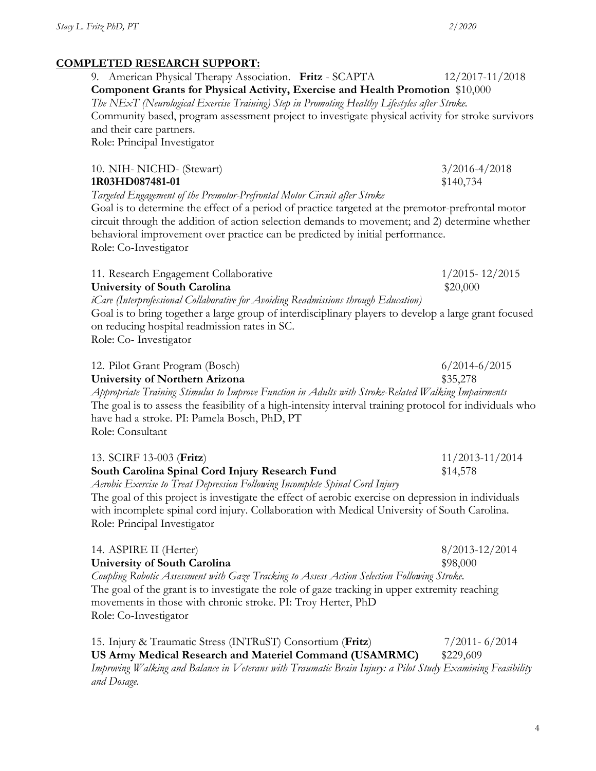## **COMPLETED RESEARCH SUPPORT:**

9. American Physical Therapy Association. **Fritz** - SCAPTA 12/2017-11/2018 **Component Grants for Physical Activity, Exercise and Health Promotion** \$10,000 *The NExT (Neurological Exercise Training) Step in Promoting Healthy Lifestyles after Stroke.* Community based, program assessment project to investigate physical activity for stroke survivors and their care partners. Role: Principal Investigator

|        | 10. NIH- NICHD- (Stewart) |  |  |  | $3/2016 - 4/2018$ |
|--------|---------------------------|--|--|--|-------------------|
|        | 1R03HD087481-01           |  |  |  | \$140,734         |
| ______ |                           |  |  |  |                   |

*Targeted Engagement of the Premotor-Prefrontal Motor Circuit after Stroke* 

Goal is to determine the effect of a period of practice targeted at the premotor-prefrontal motor circuit through the addition of action selection demands to movement; and 2) determine whether behavioral improvement over practice can be predicted by initial performance. Role: Co-Investigator

11. Research Engagement Collaborative 1/2015-12/2015

**University of South Carolina** \$20,000

*iCare (Interprofessional Collaborative for Avoiding Readmissions through Education)* Goal is to bring together a large group of interdisciplinary players to develop a large grant focused on reducing hospital readmission rates in SC. Role: Co- Investigator

| 12. Pilot Grant Program (Bosch)                                                                                                | $6/2014 - 6/2015$ |
|--------------------------------------------------------------------------------------------------------------------------------|-------------------|
| University of Northern Arizona                                                                                                 | \$35,278          |
| $A_{LL}$ , , , $T$ , , $C_{L}$ , $I$ , $I$ , $E$ , $J$ , $A$ , $L$ , $J$ , $C$ , $I$ , $D$ , $I$ , $I$ , $I$ , $I$ , $I$ , $I$ |                   |

*Appropriate Training Stimulus to Improve Function in Adults with Stroke-Related Walking Impairments* The goal is to assess the feasibility of a high-intensity interval training protocol for individuals who have had a stroke. PI: Pamela Bosch, PhD, PT

Role: Consultant

| 13. SCIRF 13-003 (Fritz)                                                                            | $11/2013 - 11/2014$ |
|-----------------------------------------------------------------------------------------------------|---------------------|
| South Carolina Spinal Cord Injury Research Fund                                                     | \$14,578            |
| Aerobic Exercise to Treat Depression Following Incomplete Spinal Cord Injury                        |                     |
| The goal of this project is investigate the effect of aerobic exercise on depression in individuals |                     |
| with incomplete spinal cord injury. Collaboration with Medical University of South Carolina.        |                     |
| Role: Principal Investigator                                                                        |                     |
|                                                                                                     |                     |

| 14. ASPIRE II (Herter)                                                                        | $8/2013 - 12/2014$ |
|-----------------------------------------------------------------------------------------------|--------------------|
| University of South Carolina                                                                  | \$98,000           |
| Coupling Robotic Assessment with Gaze Tracking to Assess Action Selection Following Stroke.   |                    |
| The goal of the grant is to investigate the role of gaze tracking in upper extremity reaching |                    |
| movements in those with chronic stroke. PI: Troy Herter, PhD                                  |                    |
| Role: Co-Investigator                                                                         |                    |

15. Injury & Traumatic Stress (INTRuST) Consortium (**Fritz**) 7/2011- 6/2014 **US Army Medical Research and Materiel Command (USAMRMC)** \$229,609 *Improving Walking and Balance in Veterans with Traumatic Brain Injury: a Pilot Study Examining Feasibility and Dosage.*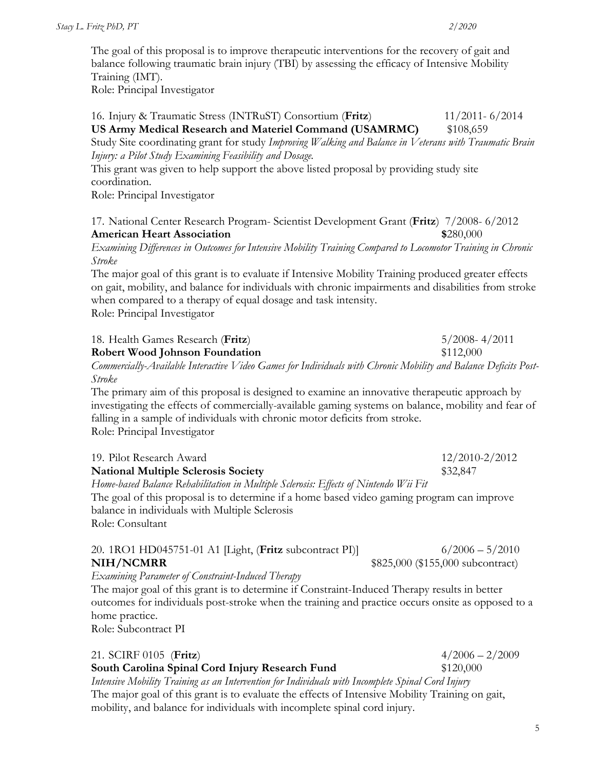The goal of this proposal is to improve therapeutic interventions for the recovery of gait and balance following traumatic brain injury (TBI) by assessing the efficacy of Intensive Mobility Training (IMT).

Role: Principal Investigator

16. Injury & Traumatic Stress (INTRuST) Consortium (**Fritz**) 11/2011- 6/2014 **US Army Medical Research and Materiel Command (USAMRMC)** \$108,659 Study Site coordinating grant for study *Improving Walking and Balance in Veterans with Traumatic Brain Injury: a Pilot Study Examining Feasibility and Dosage.*  This grant was given to help support the above listed proposal by providing study site coordination. Role: Principal Investigator 17. National Center Research Program- Scientist Development Grant (**Fritz**) 7/2008- 6/2012 **American Heart Association \$**280,000 *Examining Differences in Outcomes for Intensive Mobility Training Compared to Locomotor Training in Chronic Stroke* The major goal of this grant is to evaluate if Intensive Mobility Training produced greater effects on gait, mobility, and balance for individuals with chronic impairments and disabilities from stroke when compared to a therapy of equal dosage and task intensity. Role: Principal Investigator 18. Health Games Research (**Fritz**) 5/2008- 4/2011 **Robert Wood Johnson Foundation** \$112,000 *Commercially-Available Interactive Video Games for Individuals with Chronic Mobility and Balance Deficits Post-Stroke* The primary aim of this proposal is designed to examine an innovative therapeutic approach by investigating the effects of commercially-available gaming systems on balance, mobility and fear of falling in a sample of individuals with chronic motor deficits from stroke. Role: Principal Investigator 19. Pilot Research Award 12/2010-2/2012 **National Multiple Sclerosis Society** \$32,847 *Home-based Balance Rehabilitation in Multiple Sclerosis: Effects of Nintendo Wii Fit* The goal of this proposal is to determine if a home based video gaming program can improve balance in individuals with Multiple Sclerosis Role: Consultant 20. 1RO1 HD045751-01 A1 [Light, (**Fritz** subcontract PI)] 6/2006 – 5/2010 **NIH/NCMRR** \$825,000 (\$155,000 subcontract)

*Examining Parameter of Constraint-Induced Therapy* 

The major goal of this grant is to determine if Constraint-Induced Therapy results in better outcomes for individuals post-stroke when the training and practice occurs onsite as opposed to a home practice.

Role: Subcontract PI

| 21. SCIRF 0105 (Fritz)                                                                            | $4/2006 - 2/2009$ |
|---------------------------------------------------------------------------------------------------|-------------------|
| South Carolina Spinal Cord Injury Research Fund                                                   | \$120,000         |
| Intensive Mobility Training as an Intervention for Individuals with Incomplete Spinal Cord Injury |                   |
| The major goal of this grant is to evaluate the effects of Intensive Mobility Training on gait,   |                   |
| mobility, and balance for individuals with incomplete spinal cord injury.                         |                   |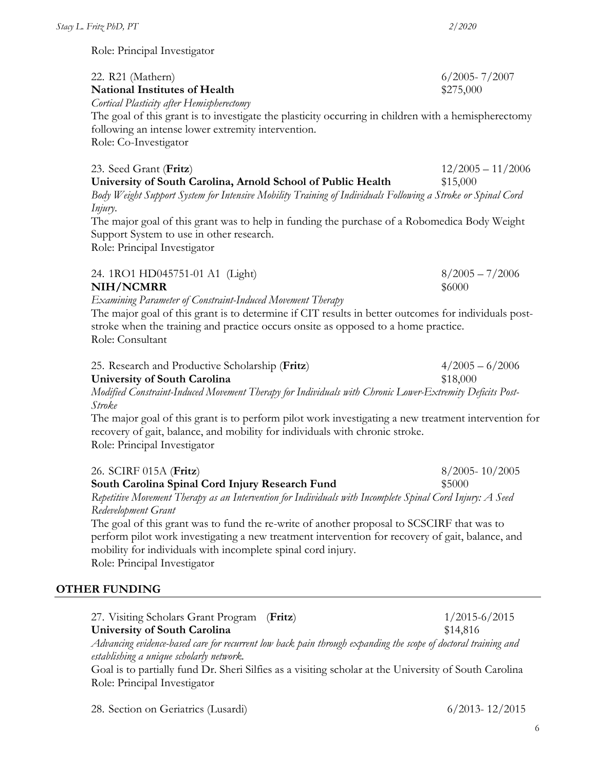| Stacy L. Fritz PhD, PT                                                                                                                                                                                                                                                                         | 2/2020                          |
|------------------------------------------------------------------------------------------------------------------------------------------------------------------------------------------------------------------------------------------------------------------------------------------------|---------------------------------|
| Role: Principal Investigator                                                                                                                                                                                                                                                                   |                                 |
| 22. R21 (Mathern)<br><b>National Institutes of Health</b><br>Cortical Plasticity after Hemispherectomy                                                                                                                                                                                         | $6/2005 - 7/2007$<br>\$275,000  |
| The goal of this grant is to investigate the plasticity occurring in children with a hemispherectomy<br>following an intense lower extremity intervention.<br>Role: Co-Investigator                                                                                                            |                                 |
| 23. Seed Grant (Fritz)<br>University of South Carolina, Arnold School of Public Health<br>Body Weight Support System for Intensive Mobility Training of Individuals Following a Stroke or Spinal Cord<br>Injury.                                                                               | $12/2005 - 11/2006$<br>\$15,000 |
| The major goal of this grant was to help in funding the purchase of a Robomedica Body Weight<br>Support System to use in other research.<br>Role: Principal Investigator                                                                                                                       |                                 |
| 24. 1RO1 HD045751-01 A1 (Light)<br>NIH/NCMRR                                                                                                                                                                                                                                                   | $8/2005 - 7/2006$<br>\$6000     |
| Examining Parameter of Constraint-Induced Movement Therapy<br>The major goal of this grant is to determine if CIT results in better outcomes for individuals post-<br>stroke when the training and practice occurs onsite as opposed to a home practice.<br>Role: Consultant                   |                                 |
| 25. Research and Productive Scholarship (Fritz)<br><b>University of South Carolina</b><br>Modified Constraint-Induced Movement Therapy for Individuals with Chronic Lower-Extremity Deficits Post-<br>Stroke                                                                                   | $4/2005 - 6/2006$<br>\$18,000   |
| The major goal of this grant is to perform pilot work investigating a new treatment intervention for<br>recovery of gait, balance, and mobility for individuals with chronic stroke.<br>Role: Principal Investigator                                                                           |                                 |
| 26. SCIRF 015A (Fritz)<br>South Carolina Spinal Cord Injury Research Fund<br>Repetitive Movement Therapy as an Intervention for Individuals with Incomplete Spinal Cord Injury: A Seed<br>Redevelopment Grant                                                                                  | $8/2005 - 10/2005$<br>\$5000    |
| The goal of this grant was to fund the re-write of another proposal to SCSCIRF that was to<br>perform pilot work investigating a new treatment intervention for recovery of gait, balance, and<br>mobility for individuals with incomplete spinal cord injury.<br>Role: Principal Investigator |                                 |
| <b>OTHER FUNDING</b>                                                                                                                                                                                                                                                                           |                                 |
| 27. Visiting Scholars Grant Program<br>(Fritz)<br><b>University of South Carolina</b><br>Advancing evidence-based care for recurrent low back pain through expanding the scope of doctoral training and                                                                                        | $1/2015 - 6/2015$<br>\$14,816   |

*establishing a unique scholarly network.* Goal is to partially fund Dr. Sheri Silfies as a visiting scholar at the University of South Carolina Role: Principal Investigator

28. Section on Geriatrics (Lusardi) 6/2013- 12/2015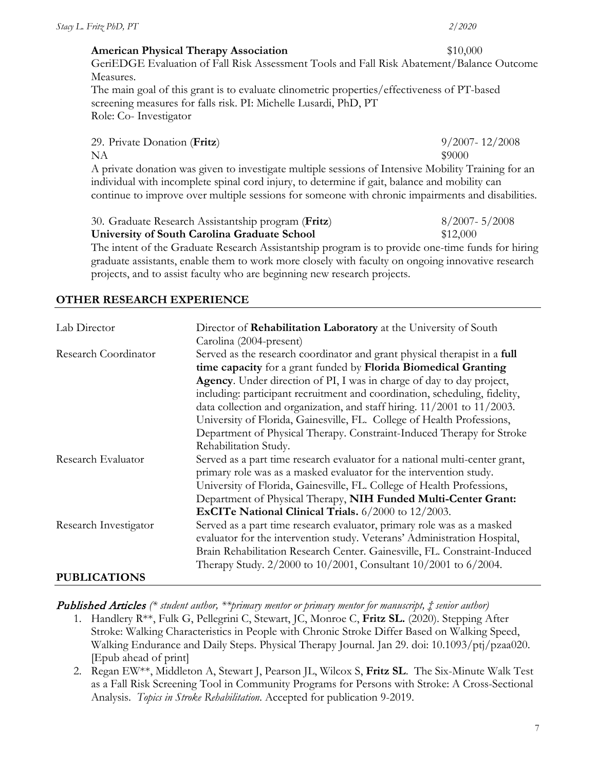| Stacy L. Fritz PhD, PT                                                                                                                                                                             | 2/2020             |
|----------------------------------------------------------------------------------------------------------------------------------------------------------------------------------------------------|--------------------|
| <b>American Physical Therapy Association</b>                                                                                                                                                       | \$10,000           |
| GeriEDGE Evaluation of Fall Risk Assessment Tools and Fall Risk Abatement/Balance Outcome<br>Measures.                                                                                             |                    |
| The main goal of this grant is to evaluate clinometric properties/effectiveness of PT-based<br>screening measures for falls risk. PI: Michelle Lusardi, PhD, PT                                    |                    |
| Role: Co-Investigator                                                                                                                                                                              |                    |
| 29. Private Donation (Fritz)                                                                                                                                                                       | $9/2007 - 12/2008$ |
| NA                                                                                                                                                                                                 | \$9000             |
| A private donation was given to investigate multiple sessions of Intensive Mobility Training for an                                                                                                |                    |
| individual with incomplete spinal cord injury, to determine if gait, balance and mobility can<br>continue to improve over multiple sessions for someone with chronic impairments and disabilities. |                    |

| 30. Graduate Research Assistantship program (Fritz)                                              | $8/2007 - 5/2008$ |
|--------------------------------------------------------------------------------------------------|-------------------|
| University of South Carolina Graduate School                                                     | \$12,000          |
| The intent of the Graduate Research Assistantship program is to provide one-time funds for hirin |                   |

The intent of the Graduate Research Assistantship program is to provide one-time funds for hiring graduate assistants, enable them to work more closely with faculty on ongoing innovative research projects, and to assist faculty who are beginning new research projects.

#### **OTHER RESEARCH EXPERIENCE**

| Lab Director          | Director of Rehabilitation Laboratory at the University of South             |
|-----------------------|------------------------------------------------------------------------------|
|                       | Carolina (2004-present)                                                      |
| Research Coordinator  | Served as the research coordinator and grant physical therapist in a full    |
|                       | time capacity for a grant funded by Florida Biomedical Granting              |
|                       | Agency. Under direction of PI, I was in charge of day to day project,        |
|                       | including: participant recruitment and coordination, scheduling, fidelity,   |
|                       | data collection and organization, and staff hiring. $11/2001$ to $11/2003$ . |
|                       | University of Florida, Gainesville, FL. College of Health Professions,       |
|                       | Department of Physical Therapy. Constraint-Induced Therapy for Stroke        |
|                       | Rehabilitation Study.                                                        |
| Research Evaluator    | Served as a part time research evaluator for a national multi-center grant,  |
|                       | primary role was as a masked evaluator for the intervention study.           |
|                       | University of Florida, Gainesville, FL. College of Health Professions,       |
|                       | Department of Physical Therapy, NIH Funded Multi-Center Grant:               |
|                       | ExCITe National Clinical Trials. 6/2000 to 12/2003.                          |
| Research Investigator | Served as a part time research evaluator, primary role was as a masked       |
|                       | evaluator for the intervention study. Veterans' Administration Hospital,     |
|                       | Brain Rehabilitation Research Center. Gainesville, FL. Constraint-Induced    |
|                       | Therapy Study. 2/2000 to 10/2001, Consultant 10/2001 to 6/2004.              |
| <b>PUBLICATIONS</b>   |                                                                              |

Published Articles *(\* student author, \*\*primary mentor or primary mentor for manuscript, ‡ senior author)*

- 1. Handlery R\*\*, Fulk G, Pellegrini C, Stewart, JC, Monroe C, **Fritz SL.** (2020). Stepping After Stroke: Walking Characteristics in People with Chronic Stroke Differ Based on Walking Speed, Walking Endurance and Daily Steps. Physical Therapy Journal. Jan 29. doi: 10.1093/ptj/pzaa020. [Epub ahead of print]
- 2. Regan EW\*\*, Middleton A, Stewart J, Pearson JL, Wilcox S, **Fritz SL**. The Six-Minute Walk Test as a Fall Risk Screening Tool in Community Programs for Persons with Stroke: A Cross-Sectional Analysis. *Topics in Stroke Rehabilitation*. Accepted for publication 9-2019.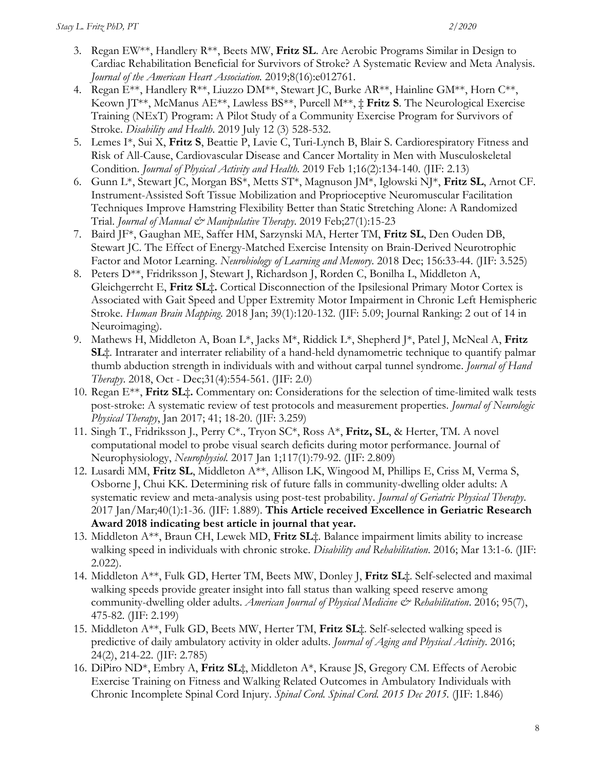- 3. Regan EW\*\*, Handlery R\*\*, Beets MW, **Fritz SL**. Are Aerobic Programs Similar in Design to Cardiac Rehabilitation Beneficial for Survivors of Stroke? A Systematic Review and Meta Analysis. *Journal of the American Heart Association.* 2019;8(16):e012761.
- 4. Regan E\*\*, Handlery R\*\*, Liuzzo DM\*\*, Stewart JC, Burke AR\*\*, Hainline GM\*\*, Horn C\*\*, Keown JT\*\*, McManus AE\*\*, Lawless BS\*\*, Purcell M\*\*, ‡ **Fritz S**. The Neurological Exercise Training (NExT) Program: A Pilot Study of a Community Exercise Program for Survivors of Stroke. *Disability and Health*. 2019 July 12 (3) 528-532.
- 5. Lemes I\*, Sui X, **Fritz S**, Beattie P, Lavie C, Turi-Lynch B, Blair S. Cardiorespiratory Fitness and Risk of All-Cause, Cardiovascular Disease and Cancer Mortality in Men with Musculoskeletal Condition. *Journal of Physical Activity and Health*. 2019 Feb 1;16(2):134-140. (JIF: 2.13)
- 6. Gunn L\*, Stewart JC, Morgan BS\*, Metts ST\*, Magnuson JM\*, Iglowski NJ\*, **Fritz SL**, Arnot CF. Instrument-Assisted Soft Tissue Mobilization and Proprioceptive Neuromuscular Facilitation Techniques Improve Hamstring Flexibility Better than Static Stretching Alone: A Randomized Trial. *Journal of Manual & Manipulative Therapy*. 2019 Feb;27(1):15-23
- 7. Baird JF\*, Gaughan ME, Saffer HM, Sarzynski MA, Herter TM, **Fritz SL**, Den Ouden DB, Stewart JC. The Effect of Energy-Matched Exercise Intensity on Brain-Derived Neurotrophic Factor and Motor Learning. *Neurobiology of Learning and Memory*. 2018 Dec; 156:33-44. (JIF: 3.525)
- 8. Peters D\*\*, Fridriksson J, Stewart J, Richardson J, Rorden C, Bonilha L, Middleton A, Gleichgerrcht E, **Fritz SL**‡**.** Cortical Disconnection of the Ipsilesional Primary Motor Cortex is Associated with Gait Speed and Upper Extremity Motor Impairment in Chronic Left Hemispheric Stroke. *Human Brain Mapping*. 2018 Jan; 39(1):120-132. (JIF: 5.09; Journal Ranking: 2 out of 14 in Neuroimaging).
- 9. Mathews H, Middleton A, Boan L\*, Jacks M\*, Riddick L\*, Shepherd J\*, Patel J, McNeal A, **Fritz SL**‡. Intrarater and interrater reliability of a hand-held dynamometric technique to quantify palmar thumb abduction strength in individuals with and without carpal tunnel syndrome. *Journal of Hand Therapy*. 2018, Oct - Dec;31(4):554-561. (JIF: 2.0)
- 10. Regan E\*\*, **Fritz SL**‡**.** Commentary on: Considerations for the selection of time-limited walk tests post-stroke: A systematic review of test protocols and measurement properties. *Journal of Neurologic Physical Therapy*, Jan 2017; 41; 18-20. (JIF: 3.259)
- 11. Singh T., Fridriksson J., Perry C\*., Tryon SC\*, Ross A\*, **Fritz, SL**, & Herter, TM. A novel computational model to probe visual search deficits during motor performance. Journal of Neurophysiology, *Neurophysiol.* 2017 Jan 1;117(1):79-92. (JIF: 2.809)
- 12. Lusardi MM, **Fritz SL**, Middleton A\*\*, Allison LK, Wingood M, Phillips E, Criss M, Verma S, Osborne J, Chui KK. Determining risk of future falls in community-dwelling older adults: A systematic review and meta-analysis using post-test probability. *Journal of Geriatric Physical Therapy*. 2017 Jan/Mar;40(1):1-36. (JIF: 1.889). **This Article received Excellence in Geriatric Research Award 2018 indicating best article in journal that year.**
- 13. Middleton A\*\*, Braun CH, Lewek MD, **Fritz SL**‡. Balance impairment limits ability to increase walking speed in individuals with chronic stroke. *Disability and Rehabilitation*. 2016; Mar 13:1-6. (JIF: 2.022).
- 14. Middleton A\*\*, Fulk GD, Herter TM, Beets MW, Donley J, **Fritz SL**‡. Self-selected and maximal walking speeds provide greater insight into fall status than walking speed reserve among community-dwelling older adults. *American Journal of Physical Medicine & Rehabilitation*. 2016; 95(7), 475-82. (JIF: 2.199)
- 15. Middleton A\*\*, Fulk GD, Beets MW, Herter TM, **Fritz SL**‡. Self-selected walking speed is predictive of daily ambulatory activity in older adults. *Journal of Aging and Physical Activity*. 2016; 24(2), 214-22. (JIF: 2.785)
- 16. DiPiro ND\*, Embry A, **Fritz SL**‡, Middleton A\*, Krause JS, Gregory CM. Effects of Aerobic Exercise Training on Fitness and Walking Related Outcomes in Ambulatory Individuals with Chronic Incomplete Spinal Cord Injury. *Spinal Cord. Spinal Cord. 2015 Dec 2015.* (JIF: 1.846)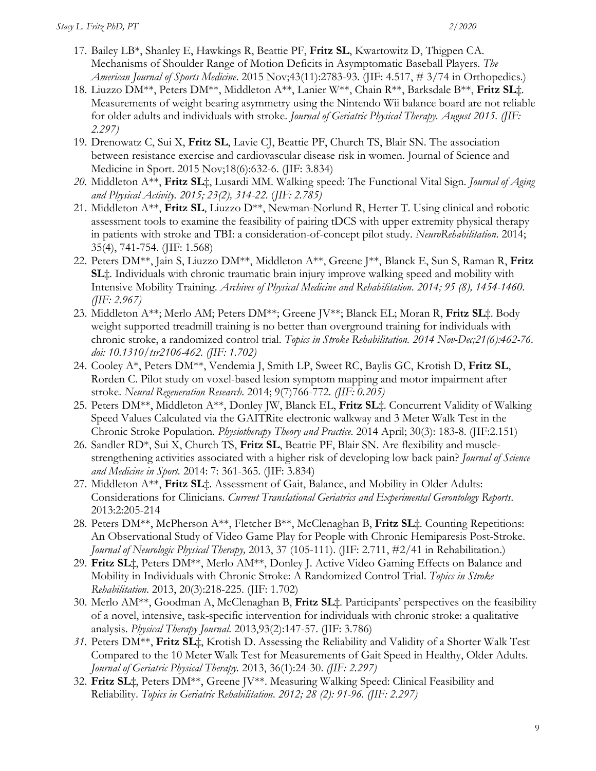- 17. Bailey LB\*, Shanley E, Hawkings R, Beattie PF, **Fritz SL**, Kwartowitz D, Thigpen CA. Mechanisms of Shoulder Range of Motion Deficits in Asymptomatic Baseball Players. *The American Journal of Sports Medicine*. 2015 Nov;43(11):2783-93. (JIF: 4.517, # 3/74 in Orthopedics.)
- 18. Liuzzo DM\*\*, Peters DM\*\*, Middleton A\*\*, Lanier W\*\*, Chain R\*\*, Barksdale B\*\*, **Fritz SL**‡. Measurements of weight bearing asymmetry using the Nintendo Wii balance board are not reliable for older adults and individuals with stroke. *Journal of Geriatric Physical Therapy. August 2015. (JIF: 2.297)*
- 19. Drenowatz C, Sui X, **Fritz SL**, Lavie CJ, Beattie PF, Church TS, Blair SN. The association between resistance exercise and cardiovascular disease risk in women. Journal of Science and Medicine in Sport. 2015 Nov;18(6):632-6. (JIF: 3.834)
- *20.* Middleton A\*\*, **Fritz SL**‡, Lusardi MM. Walking speed: The Functional Vital Sign. *Journal of Aging and Physical Activity. 2015; 23(2), 314-22.* (*JIF: 2.785)*
- 21. Middleton A\*\*, **Fritz SL**, Liuzzo D\*\*, Newman-Norlund R, Herter T. Using clinical and robotic assessment tools to examine the feasibility of pairing tDCS with upper extremity physical therapy in patients with stroke and TBI: a consideration-of-concept pilot study. *NeuroRehabilitation*. 2014; 35(4), 741-754. (JIF: 1.568)
- 22. Peters DM\*\*, Jain S, Liuzzo DM\*\*, Middleton A\*\*, Greene J\*\*, Blanck E, Sun S, Raman R, **Fritz SL**‡. Individuals with chronic traumatic brain injury improve walking speed and mobility with Intensive Mobility Training. *Archives of Physical Medicine and Rehabilitation*. *2014; 95 (8), 1454-1460. (JIF: 2.967)*
- 23. Middleton A\*\*; Merlo AM; Peters DM\*\*; Greene JV\*\*; Blanck EL; Moran R, **Fritz SL**‡. Body weight supported treadmill training is no better than overground training for individuals with chronic stroke, a randomized control trial. *Topics in Stroke Rehabilitation. 2014 Nov-Dec;21(6):462-76. doi: 10.1310/tsr2106-462. (JIF: 1.702)*
- 24. Cooley A\*, Peters DM\*\*, Vendemia J, Smith LP, Sweet RC, Baylis GC, Krotish D, **Fritz SL**, Rorden C. Pilot study on voxel-based lesion symptom mapping and motor impairment after stroke. *Neural Regeneration Research*. 2014; 9(7)766-772*. (JIF: 0.205)*
- 25. Peters DM\*\*, Middleton A\*\*, Donley JW, Blanck EL, **Fritz SL**‡. Concurrent Validity of Walking Speed Values Calculated via the GAITRite electronic walkway and 3 Meter Walk Test in the Chronic Stroke Population. *Physiotherapy Theory and Practice*. 2014 April; 30(3): 183-8. (JIF:2.151)
- 26. Sandler RD\*, Sui X, Church TS, **Fritz SL**, Beattie PF, Blair SN. Are flexibility and musclestrengthening activities associated with a higher risk of developing low back pain? *Journal of Science and Medicine in Sport.* 2014: 7: 361-365. (JIF: 3.834)
- 27. Middleton A\*\*, **Fritz SL**‡. Assessment of Gait, Balance, and Mobility in Older Adults: Considerations for Clinicians. *Current Translational Geriatrics and Experimental Gerontology Reports*. 2013:2:205-214
- 28. Peters DM\*\*, McPherson A\*\*, Fletcher B\*\*, McClenaghan B, **Fritz SL**‡. Counting Repetitions: An Observational Study of Video Game Play for People with Chronic Hemiparesis Post-Stroke. *Journal of Neurologic Physical Therapy,* 2013, 37 (105-111). (JIF: 2.711, #2/41 in Rehabilitation.)
- 29. **Fritz SL**‡, Peters DM\*\*, Merlo AM\*\*, Donley J. Active Video Gaming Effects on Balance and Mobility in Individuals with Chronic Stroke: A Randomized Control Trial. *Topics in Stroke Rehabilitation*. 2013, 20(3):218-225. (JIF: 1.702)
- 30. Merlo AM\*\*, Goodman A, McClenaghan B, **Fritz SL**‡. Participants' perspectives on the feasibility of a novel, intensive, task-specific intervention for individuals with chronic stroke: a qualitative analysis. *Physical Therapy Journal*. 2013,93(2):147-57. (JIF: 3.786)
- *31.* Peters DM\*\*, **Fritz SL**‡, Krotish D. Assessing the Reliability and Validity of a Shorter Walk Test Compared to the 10 Meter Walk Test for Measurements of Gait Speed in Healthy, Older Adults. *Journal of Geriatric Physical Therapy.* 2013, 36(1):24-30. *(JIF: 2.297)*
- 32. **Fritz SL**‡, Peters DM\*\*, Greene JV\*\*. Measuring Walking Speed: Clinical Feasibility and Reliability. *Topics in Geriatric Rehabilitation*. *2012; 28 (2): 91-96. (JIF: 2.297)*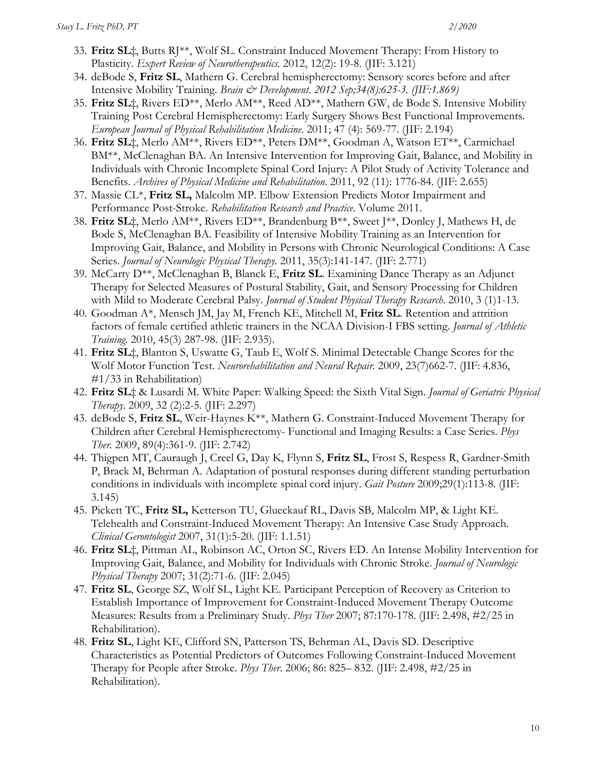- 33. **Fritz SL**‡, Butts RJ\*\*, Wolf SL. Constraint Induced Movement Therapy: From History to Plasticity. *Expert Review of Neurotherapeutics.* 2012, 12(2): 19-8. (JIF: 3.121)
- 34. deBode S, **Fritz SL**, Mathern G. Cerebral hemispherectomy: Sensory scores before and after Intensive Mobility Training. *Brain & Development*. *2012 Sep;34(8):625-3. (JIF:1.869)*
- 35. **Fritz SL**‡, Rivers ED\*\*, Merlo AM\*\*, Reed AD\*\*, Mathern GW, de Bode S. Intensive Mobility Training Post Cerebral Hemispherectomy: Early Surgery Shows Best Functional Improvements*. European Journal of Physical Rehabilitation Medicine*. 2011; 47 (4): 569-77. (JIF: 2.194)
- 36. **Fritz SL**‡, Merlo AM\*\*, Rivers ED\*\*, Peters DM\*\*, Goodman A, Watson ET\*\*, Carmichael BM\*\*, McClenaghan BA. An Intensive Intervention for Improving Gait, Balance, and Mobility in Individuals with Chronic Incomplete Spinal Cord Injury: A Pilot Study of Activity Tolerance and Benefits. *Archives of Physical Medicine and Rehabilitation*. 2011, 92 (11): 1776-84. (JIF: 2.655)
- 37. Massie CL\*, **Fritz SL,** Malcolm MP. Elbow Extension Predicts Motor Impairment and Performance Post-Stroke. *Rehabilitation Research and Practice*. Volume 2011.
- 38. **Fritz SL**‡, Merlo AM\*\*, Rivers ED\*\*, Brandenburg B\*\*, Sweet J\*\*, Donley J, Mathews H, de Bode S, McClenaghan BA. Feasibility of Intensive Mobility Training as an Intervention for Improving Gait, Balance, and Mobility in Persons with Chronic Neurological Conditions: A Case Series. *Journal of Neurologic Physical Therapy.* 2011, 35(3):141-147. (JIF: 2.771)
- 39. McCarty D\*\*, McClenaghan B, Blanck E, **Fritz SL**. Examining Dance Therapy as an Adjunct Therapy for Selected Measures of Postural Stability, Gait, and Sensory Processing for Children with Mild to Moderate Cerebral Palsy. *Journal of Student Physical Therapy Research*. 2010, 3 (1)1-13.
- 40. Goodman A\*, Mensch JM, Jay M, French KE, Mitchell M, **Fritz SL**. Retention and attrition factors of female certified athletic trainers in the NCAA Division-I FBS setting. *Journal of Athletic Training*. 2010, 45(3) 287-98. (JIF: 2.935).
- 41. **Fritz SL**‡, Blanton S, Uswatte G, Taub E, Wolf S. Minimal Detectable Change Scores for the Wolf Motor Function Test. *Neurorehabilitation and Neural Repair.* 2009, 23(7)662-7. (JIF: 4.836, #1/33 in Rehabilitation)
- 42. **Fritz SL**‡ & Lusardi M. White Paper: Walking Speed: the Sixth Vital Sign. *Journal of Geriatric Physical Therapy*. 2009, 32 (2):2-5. (JIF: 2.297)
- 43. deBode S, **Fritz SL**, Weir-Haynes K\*\*, Mathern G. Constraint-Induced Movement Therapy for Children after Cerebral Hemispherectomy- Functional and Imaging Results: a Case Series. *Phys Ther.* 2009, 89(4):361-9. (JIF: 2.742)
- 44. Thigpen MT, Cauraugh J, Creel G, Day K, Flynn S, **Fritz SL**, Frost S, Respess R, Gardner-Smith P, Brack M, Behrman A. Adaptation of postural responses during different standing perturbation conditions in individuals with incomplete spinal cord injury. *Gait Posture* 2009;29(1):113-8. (JIF: 3.145)
- 45. Pickett TC, **Fritz SL,** Ketterson TU, Glueckauf RL, Davis SB, Malcolm MP, & Light KE. Telehealth and Constraint-Induced Movement Therapy: An Intensive Case Study Approach. *Clinical Gerontologist* 2007, 31(1):5-20. (JIF: 1.1.51)
- 46. **Fritz SL**‡, Pittman AL, Robinson AC, Orton SC, Rivers ED. An Intense Mobility Intervention for Improving Gait, Balance, and Mobility for Individuals with Chronic Stroke. *Journal of Neurologic Physical Therapy* 2007; 31(2):71-6. (JIF: 2.045)
- 47. **Fritz SL**, George SZ, Wolf SL, Light KE. Participant Perception of Recovery as Criterion to Establish Importance of Improvement for Constraint-Induced Movement Therapy Outcome Measures: Results from a Preliminary Study. *Phys Ther* 2007; 87:170-178. (JIF: 2.498, #2/25 in Rehabilitation).
- 48. **Fritz SL**, Light KE, Clifford SN, Patterson TS, Behrman AL, Davis SD. Descriptive Characteristics as Potential Predictors of Outcomes Following Constraint-Induced Movement Therapy for People after Stroke. *Phys Ther*. 2006; 86: 825– 832. (JIF: 2.498, #2/25 in Rehabilitation).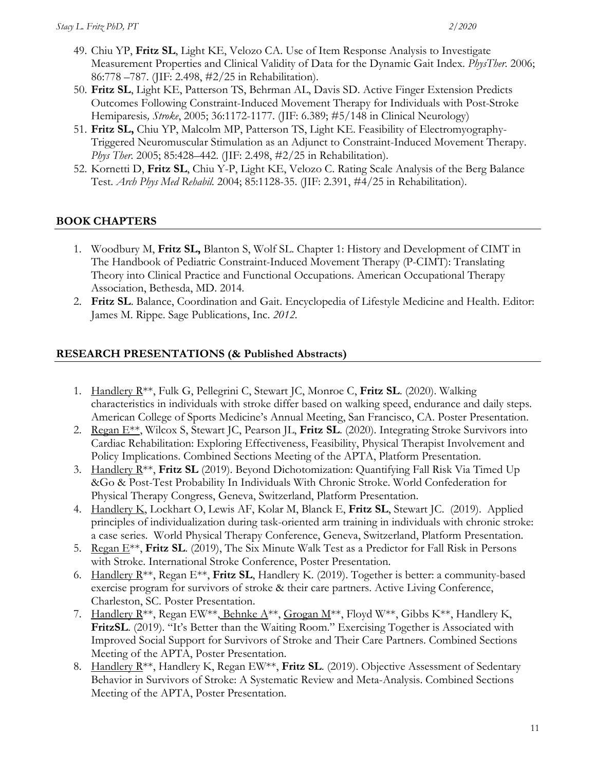- 49. Chiu YP, **Fritz SL**, Light KE, Velozo CA. Use of Item Response Analysis to Investigate Measurement Properties and Clinical Validity of Data for the Dynamic Gait Index. *PhysTher*. 2006; 86:778 –787. (JIF: 2.498, #2/25 in Rehabilitation).
- 50. **Fritz SL**, Light KE, Patterson TS, Behrman AL, Davis SD. Active Finger Extension Predicts Outcomes Following Constraint-Induced Movement Therapy for Individuals with Post-Stroke Hemiparesis*, Stroke*, 2005; 36:1172-1177. (JIF: 6.389; #5/148 in Clinical Neurology)
- 51. **Fritz SL,** Chiu YP, Malcolm MP, Patterson TS, Light KE. Feasibility of Electromyography-Triggered Neuromuscular Stimulation as an Adjunct to Constraint-Induced Movement Therapy. *Phys Ther.* 2005; 85:428–442. (JIF: 2.498, #2/25 in Rehabilitation).
- 52. Kornetti D, **Fritz SL**, Chiu Y-P, Light KE, Velozo C. Rating Scale Analysis of the Berg Balance Test. *Arch Phys Med Rehabil.* 2004; 85:1128-35. (JIF: 2.391, #4/25 in Rehabilitation).

### **BOOK CHAPTERS**

- 1. Woodbury M, **Fritz SL,** Blanton S, Wolf SL. Chapter 1: History and Development of CIMT in The Handbook of Pediatric Constraint-Induced Movement Therapy (P-CIMT): Translating Theory into Clinical Practice and Functional Occupations. American Occupational Therapy Association, Bethesda, MD. 2014*.*
- 2. **Fritz SL**. Balance, Coordination and Gait. Encyclopedia of Lifestyle Medicine and Health. Editor: James M. Rippe. Sage Publications, Inc. *2012.*

### **RESEARCH PRESENTATIONS (& Published Abstracts)**

- 1. Handlery R\*\*, Fulk G, Pellegrini C, Stewart JC, Monroe C, **Fritz SL**. (2020). Walking characteristics in individuals with stroke differ based on walking speed, endurance and daily steps. American College of Sports Medicine's Annual Meeting, San Francisco, CA. Poster Presentation.
- 2. Regan E\*\*, Wilcox S, Stewart JC, Pearson JL, **Fritz SL**. (2020). Integrating Stroke Survivors into Cardiac Rehabilitation: Exploring Effectiveness, Feasibility, Physical Therapist Involvement and Policy Implications. Combined Sections Meeting of the APTA, Platform Presentation.
- 3. Handlery R\*\*, **Fritz SL** (2019). Beyond Dichotomization: Quantifying Fall Risk Via Timed Up &Go & Post-Test Probability In Individuals With Chronic Stroke. World Confederation for Physical Therapy Congress, Geneva, Switzerland, Platform Presentation.
- 4. Handlery K, Lockhart O, Lewis AF, Kolar M, Blanck E, **Fritz SL**, Stewart JC. (2019). Applied principles of individualization during task-oriented arm training in individuals with chronic stroke: a case series. World Physical Therapy Conference, Geneva, Switzerland, Platform Presentation.
- 5. Regan E\*\*, **Fritz SL**. (2019), The Six Minute Walk Test as a Predictor for Fall Risk in Persons with Stroke. International Stroke Conference, Poster Presentation.
- 6. Handlery R\*\*, Regan E\*\*, **Fritz SL**, Handlery K. (2019). Together is better: a community-based exercise program for survivors of stroke & their care partners. Active Living Conference, Charleston, SC. Poster Presentation.
- 7. Handlery R<sup>\*\*</sup>, Regan EW<sup>\*\*</sup>, Behnke A<sup>\*\*</sup>, Grogan M<sup>\*\*</sup>, Floyd W<sup>\*\*</sup>, Gibbs K<sup>\*\*</sup>, Handlery K, **FritzSL**. (2019). "It's Better than the Waiting Room." Exercising Together is Associated with Improved Social Support for Survivors of Stroke and Their Care Partners. Combined Sections Meeting of the APTA, Poster Presentation.
- 8. Handlery R\*\*, Handlery K, Regan EW\*\*, **Fritz SL**. (2019). Objective Assessment of Sedentary Behavior in Survivors of Stroke: A Systematic Review and Meta-Analysis. Combined Sections Meeting of the APTA, Poster Presentation.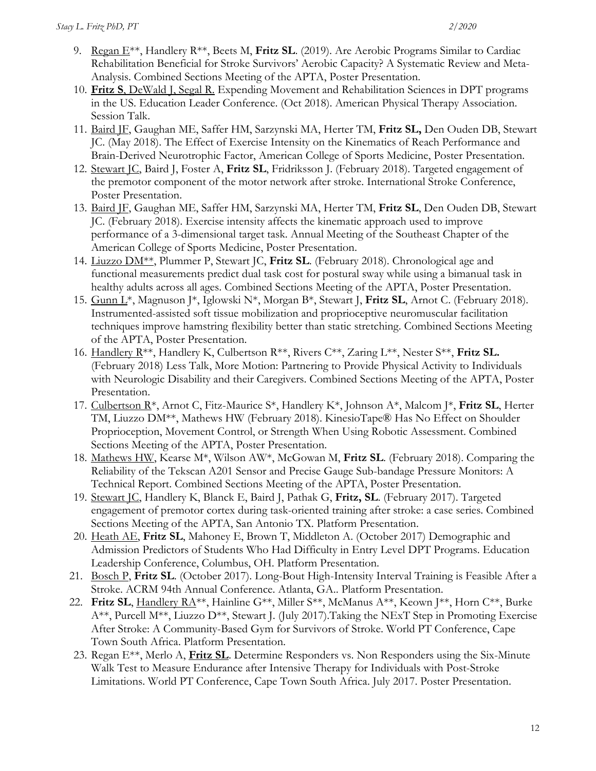- 9. Regan E\*\*, Handlery R\*\*, Beets M, **Fritz SL**. (2019). Are Aerobic Programs Similar to Cardiac Rehabilitation Beneficial for Stroke Survivors' Aerobic Capacity? A Systematic Review and Meta-Analysis. Combined Sections Meeting of the APTA, Poster Presentation.
- 10. **Fritz S**, DeWald J, Segal R. Expending Movement and Rehabilitation Sciences in DPT programs in the US. Education Leader Conference. (Oct 2018). American Physical Therapy Association. Session Talk.
- 11. Baird JF, Gaughan ME, Saffer HM, Sarzynski MA, Herter TM, **Fritz SL,** Den Ouden DB, Stewart JC. (May 2018). The Effect of Exercise Intensity on the Kinematics of Reach Performance and Brain-Derived Neurotrophic Factor, American College of Sports Medicine, Poster Presentation.
- 12. Stewart JC, Baird J, Foster A, **Fritz SL**, Fridriksson J. (February 2018). Targeted engagement of the premotor component of the motor network after stroke. International Stroke Conference, Poster Presentation.
- 13. Baird JF, Gaughan ME, Saffer HM, Sarzynski MA, Herter TM, **Fritz SL**, Den Ouden DB, Stewart JC. (February 2018). Exercise intensity affects the kinematic approach used to improve performance of a 3-dimensional target task. Annual Meeting of the Southeast Chapter of the American College of Sports Medicine, Poster Presentation.
- 14. Liuzzo DM\*\*, Plummer P, Stewart JC, **Fritz SL**. (February 2018). Chronological age and functional measurements predict dual task cost for postural sway while using a bimanual task in healthy adults across all ages. Combined Sections Meeting of the APTA, Poster Presentation.
- 15. Gunn L\*, Magnuson J\*, Iglowski N\*, Morgan B\*, Stewart J, **Fritz SL**, Arnot C. (February 2018). Instrumented-assisted soft tissue mobilization and proprioceptive neuromuscular facilitation techniques improve hamstring flexibility better than static stretching. Combined Sections Meeting of the APTA, Poster Presentation.
- 16. Handlery R\*\*, Handlery K, Culbertson R\*\*, Rivers C\*\*, Zaring L\*\*, Nester S\*\*, **Fritz SL.**  (February 2018) Less Talk, More Motion: Partnering to Provide Physical Activity to Individuals with Neurologic Disability and their Caregivers. Combined Sections Meeting of the APTA, Poster Presentation.
- 17. Culbertson R\*, Arnot C, Fitz-Maurice S\*, Handlery K\*, Johnson A\*, Malcom J\*, **Fritz SL**, Herter TM, Liuzzo DM\*\*, Mathews HW (February 2018). KinesioTape® Has No Effect on Shoulder Proprioception, Movement Control, or Strength When Using Robotic Assessment. Combined Sections Meeting of the APTA, Poster Presentation.
- 18. Mathews HW, Kearse M\*, Wilson AW\*, McGowan M, **Fritz SL**. (February 2018). Comparing the Reliability of the Tekscan A201 Sensor and Precise Gauge Sub-bandage Pressure Monitors: A Technical Report. Combined Sections Meeting of the APTA, Poster Presentation.
- 19. Stewart JC, Handlery K, Blanck E, Baird J, Pathak G, **Fritz, SL**. (February 2017). Targeted engagement of premotor cortex during task-oriented training after stroke: a case series. Combined Sections Meeting of the APTA, San Antonio TX. Platform Presentation.
- 20. Heath AE, **Fritz SL**, Mahoney E, Brown T, Middleton A. (October 2017) Demographic and Admission Predictors of Students Who Had Difficulty in Entry Level DPT Programs. Education Leadership Conference, Columbus, OH. Platform Presentation.
- 21. Bosch P, **Fritz SL**. (October 2017). Long-Bout High-Intensity Interval Training is Feasible After a Stroke. ACRM 94th Annual Conference. Atlanta, GA.. Platform Presentation.
- 22. **Fritz SL**, Handlery RA\*\*, Hainline G\*\*, Miller S\*\*, McManus A\*\*, Keown J\*\*, Horn C\*\*, Burke A\*\*, Purcell M\*\*, Liuzzo D\*\*, Stewart J. (July 2017).Taking the NExT Step in Promoting Exercise After Stroke: A Community-Based Gym for Survivors of Stroke. World PT Conference, Cape Town South Africa. Platform Presentation.
- 23. Regan E\*\*, Merlo A, **Fritz SL**. Determine Responders vs. Non Responders using the Six-Minute Walk Test to Measure Endurance after Intensive Therapy for Individuals with Post-Stroke Limitations. World PT Conference, Cape Town South Africa. July 2017. Poster Presentation.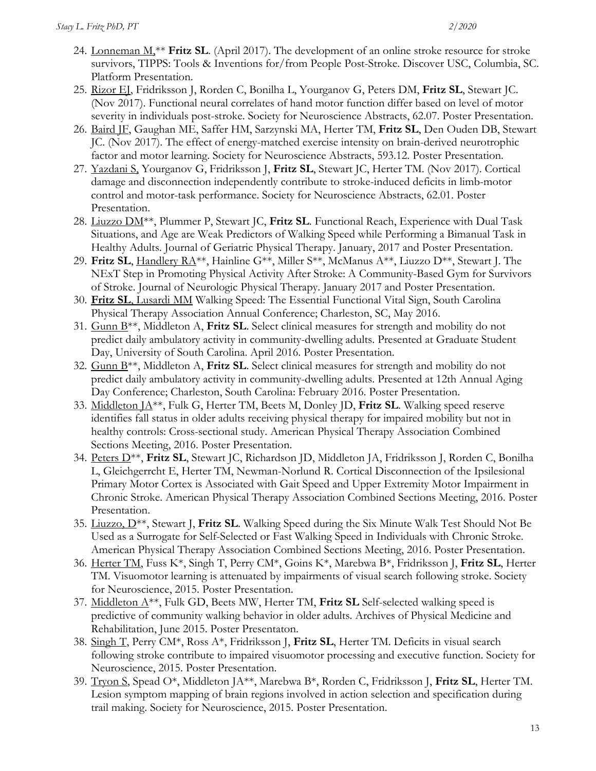- 24. Lonneman M,\*\* **Fritz SL**. (April 2017). The development of an online stroke resource for stroke survivors, TIPPS: Tools & Inventions for/from People Post-Stroke. Discover USC, Columbia, SC. Platform Presentation.
- 25. Rizor EJ, Fridriksson J, Rorden C, Bonilha L, Yourganov G, Peters DM, **Fritz SL**, Stewart JC. (Nov 2017). Functional neural correlates of hand motor function differ based on level of motor severity in individuals post-stroke. Society for Neuroscience Abstracts, 62.07. Poster Presentation.
- 26. Baird JF, Gaughan ME, Saffer HM, Sarzynski MA, Herter TM, **Fritz SL**, Den Ouden DB, Stewart JC. (Nov 2017). The effect of energy-matched exercise intensity on brain-derived neurotrophic factor and motor learning. Society for Neuroscience Abstracts, 593.12. Poster Presentation.
- 27. Yazdani S, Yourganov G, Fridriksson J, **Fritz SL**, Stewart JC, Herter TM. (Nov 2017). Cortical damage and disconnection independently contribute to stroke-induced deficits in limb-motor control and motor-task performance. Society for Neuroscience Abstracts, 62.01. Poster Presentation.
- 28. Liuzzo DM\*\*, Plummer P, Stewart JC, **Fritz SL**. Functional Reach, Experience with Dual Task Situations, and Age are Weak Predictors of Walking Speed while Performing a Bimanual Task in Healthy Adults. Journal of Geriatric Physical Therapy. January, 2017 and Poster Presentation.
- 29. **Fritz SL**, Handlery RA\*\*, Hainline G\*\*, Miller S\*\*, McManus A\*\*, Liuzzo D\*\*, Stewart J. The NExT Step in Promoting Physical Activity After Stroke: A Community-Based Gym for Survivors of Stroke. Journal of Neurologic Physical Therapy. January 2017 and Poster Presentation.
- 30. **Fritz SL**, Lusardi MM Walking Speed: The Essential Functional Vital Sign, South Carolina Physical Therapy Association Annual Conference; Charleston, SC, May 2016.
- 31. Gunn B\*\*, Middleton A, **Fritz SL**. Select clinical measures for strength and mobility do not predict daily ambulatory activity in community-dwelling adults. Presented at Graduate Student Day, University of South Carolina. April 2016. Poster Presentation.
- 32. Gunn B\*\*, Middleton A, **Fritz SL**. Select clinical measures for strength and mobility do not predict daily ambulatory activity in community-dwelling adults. Presented at 12th Annual Aging Day Conference; Charleston, South Carolina: February 2016. Poster Presentation.
- 33. Middleton JA\*\*, Fulk G, Herter TM, Beets M, Donley JD, **Fritz SL**. Walking speed reserve identifies fall status in older adults receiving physical therapy for impaired mobility but not in healthy controls: Cross-sectional study. American Physical Therapy Association Combined Sections Meeting, 2016. Poster Presentation.
- 34. Peters D\*\*, **Fritz SL**, Stewart JC, Richardson JD, Middleton JA, Fridriksson J, Rorden C, Bonilha L, Gleichgerrcht E, Herter TM, Newman-Norlund R. Cortical Disconnection of the Ipsilesional Primary Motor Cortex is Associated with Gait Speed and Upper Extremity Motor Impairment in Chronic Stroke. American Physical Therapy Association Combined Sections Meeting, 2016. Poster Presentation.
- 35. Liuzzo, D\*\*, Stewart J, **Fritz SL**. Walking Speed during the Six Minute Walk Test Should Not Be Used as a Surrogate for Self-Selected or Fast Walking Speed in Individuals with Chronic Stroke. American Physical Therapy Association Combined Sections Meeting, 2016. Poster Presentation.
- 36. Herter TM, Fuss K\*, Singh T, Perry CM\*, Goins K\*, Marebwa B\*, Fridriksson J, **Fritz SL**, Herter TM. Visuomotor learning is attenuated by impairments of visual search following stroke. Society for Neuroscience, 2015. Poster Presentation.
- 37. Middleton A\*\*, Fulk GD, Beets MW, Herter TM, **Fritz SL** Self-selected walking speed is predictive of community walking behavior in older adults. Archives of Physical Medicine and Rehabilitation, June 2015. Poster Presentaton.
- 38. Singh T, Perry CM\*, Ross A\*, Fridriksson J, **Fritz SL**, Herter TM. Deficits in visual search following stroke contribute to impaired visuomotor processing and executive function. Society for Neuroscience, 2015. Poster Presentation.
- 39. Tryon S, Spead O\*, Middleton JA\*\*, Marebwa B\*, Rorden C, Fridriksson J, **Fritz SL**, Herter TM. Lesion symptom mapping of brain regions involved in action selection and specification during trail making. Society for Neuroscience, 2015. Poster Presentation.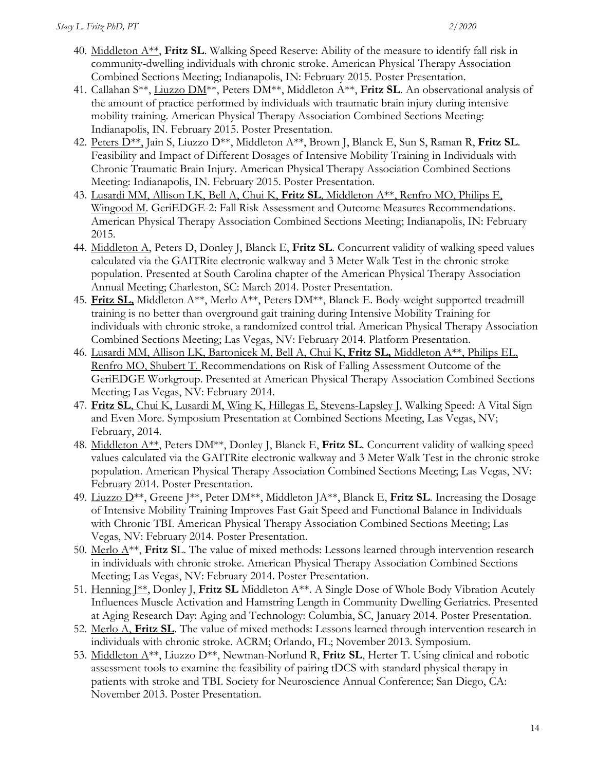- 40. Middleton A\*\*, **Fritz SL**. Walking Speed Reserve: Ability of the measure to identify fall risk in community-dwelling individuals with chronic stroke. American Physical Therapy Association Combined Sections Meeting; Indianapolis, IN: February 2015. Poster Presentation.
- 41. Callahan S\*\*, Liuzzo DM\*\*, Peters DM\*\*, Middleton A\*\*, **Fritz SL**. An observational analysis of the amount of practice performed by individuals with traumatic brain injury during intensive mobility training. American Physical Therapy Association Combined Sections Meeting: Indianapolis, IN. February 2015. Poster Presentation.
- 42. Peters D\*\*, Jain S, Liuzzo D\*\*, Middleton A\*\*, Brown J, Blanck E, Sun S, Raman R, **Fritz SL**. Feasibility and Impact of Different Dosages of Intensive Mobility Training in Individuals with Chronic Traumatic Brain Injury. American Physical Therapy Association Combined Sections Meeting: Indianapolis, IN. February 2015. Poster Presentation.
- 43. Lusardi MM, Allison LK, Bell A, Chui K, **Fritz SL**, Middleton A\*\*, Renfro MO, Philips E, Wingood M. GeriEDGE-2: Fall Risk Assessment and Outcome Measures Recommendations. American Physical Therapy Association Combined Sections Meeting; Indianapolis, IN: February 2015.
- 44. Middleton A, Peters D, Donley J, Blanck E, **Fritz SL**. Concurrent validity of walking speed values calculated via the GAITRite electronic walkway and 3 Meter Walk Test in the chronic stroke population. Presented at South Carolina chapter of the American Physical Therapy Association Annual Meeting; Charleston, SC: March 2014. Poster Presentation.
- 45. **Fritz SL,** Middleton A\*\*, Merlo A\*\*, Peters DM\*\*, Blanck E. Body-weight supported treadmill training is no better than overground gait training during Intensive Mobility Training for individuals with chronic stroke, a randomized control trial. American Physical Therapy Association Combined Sections Meeting; Las Vegas, NV: February 2014. Platform Presentation.
- 46. Lusardi MM, Allison LK, Bartonicek M, Bell A, Chui K, **Fritz SL,** Middleton A\*\*, Philips EL, Renfro MO, Shubert T. Recommendations on Risk of Falling Assessment Outcome of the GeriEDGE Workgroup. Presented at American Physical Therapy Association Combined Sections Meeting; Las Vegas, NV: February 2014.
- 47. **Fritz SL**, Chui K, Lusardi M, Wing K, Hillegas E, Stevens-Lapsley J. Walking Speed: A Vital Sign and Even More. Symposium Presentation at Combined Sections Meeting, Las Vegas, NV; February, 2014.
- 48. Middleton A\*\*, Peters DM\*\*, Donley J, Blanck E, **Fritz SL**. Concurrent validity of walking speed values calculated via the GAITRite electronic walkway and 3 Meter Walk Test in the chronic stroke population. American Physical Therapy Association Combined Sections Meeting; Las Vegas, NV: February 2014. Poster Presentation.
- 49. Liuzzo D\*\*, Greene J\*\*, Peter DM\*\*, Middleton JA\*\*, Blanck E, **Fritz SL**. Increasing the Dosage of Intensive Mobility Training Improves Fast Gait Speed and Functional Balance in Individuals with Chronic TBI. American Physical Therapy Association Combined Sections Meeting; Las Vegas, NV: February 2014. Poster Presentation.
- 50. Merlo A\*\*, **Fritz S**L. The value of mixed methods: Lessons learned through intervention research in individuals with chronic stroke. American Physical Therapy Association Combined Sections Meeting; Las Vegas, NV: February 2014. Poster Presentation.
- 51. Henning J\*\*, Donley J, **Fritz SL** Middleton A\*\*. A Single Dose of Whole Body Vibration Acutely Influences Muscle Activation and Hamstring Length in Community Dwelling Geriatrics. Presented at Aging Research Day: Aging and Technology: Columbia, SC, January 2014. Poster Presentation.
- 52. Merlo A, **Fritz SL**. The value of mixed methods: Lessons learned through intervention research in individuals with chronic stroke. ACRM; Orlando, FL; November 2013. Symposium.
- 53. Middleton A\*\*, Liuzzo D\*\*, Newman-Norlund R, **Fritz SL**, Herter T. Using clinical and robotic assessment tools to examine the feasibility of pairing tDCS with standard physical therapy in patients with stroke and TBI. Society for Neuroscience Annual Conference; San Diego, CA: November 2013. Poster Presentation.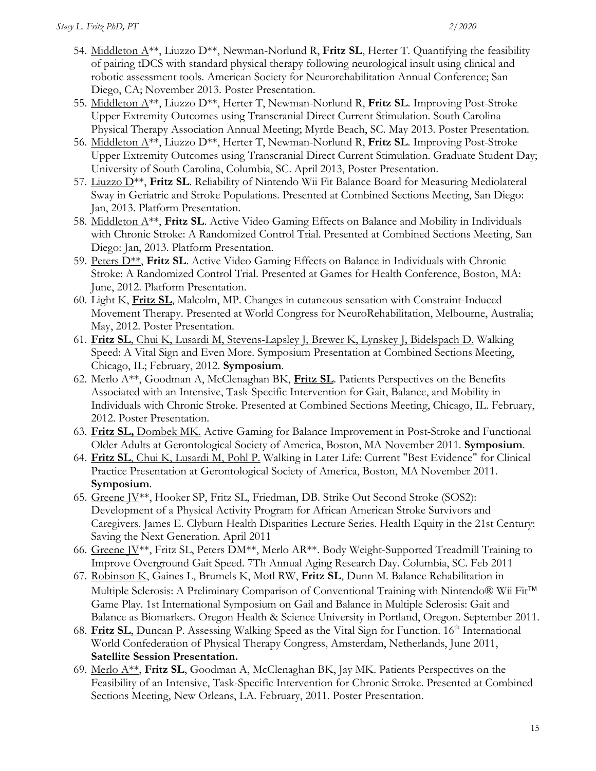- 54. Middleton A\*\*, Liuzzo D\*\*, Newman-Norlund R, **Fritz SL**, Herter T. Quantifying the feasibility of pairing tDCS with standard physical therapy following neurological insult using clinical and robotic assessment tools. American Society for Neurorehabilitation Annual Conference; San Diego, CA; November 2013. Poster Presentation.
- 55. Middleton A\*\*, Liuzzo D\*\*, Herter T, Newman-Norlund R, **Fritz SL**. Improving Post-Stroke Upper Extremity Outcomes using Transcranial Direct Current Stimulation. South Carolina Physical Therapy Association Annual Meeting; Myrtle Beach, SC. May 2013. Poster Presentation.
- 56. Middleton A\*\*, Liuzzo D\*\*, Herter T, Newman-Norlund R, **Fritz SL**. Improving Post-Stroke Upper Extremity Outcomes using Transcranial Direct Current Stimulation. Graduate Student Day; University of South Carolina, Columbia, SC. April 2013, Poster Presentation.
- 57. Liuzzo D\*\*, **Fritz SL**. Reliability of Nintendo Wii Fit Balance Board for Measuring Mediolateral Sway in Geriatric and Stroke Populations. Presented at Combined Sections Meeting, San Diego: Jan, 2013. Platform Presentation.
- 58. Middleton A\*\*, **Fritz SL**. Active Video Gaming Effects on Balance and Mobility in Individuals with Chronic Stroke: A Randomized Control Trial. Presented at Combined Sections Meeting, San Diego: Jan, 2013. Platform Presentation.
- 59. Peters D\*\*, **Fritz SL**. Active Video Gaming Effects on Balance in Individuals with Chronic Stroke: A Randomized Control Trial. Presented at Games for Health Conference, Boston, MA: June, 2012. Platform Presentation.
- 60. Light K, **Fritz SL**, Malcolm, MP. Changes in cutaneous sensation with Constraint-Induced Movement Therapy. Presented at World Congress for NeuroRehabilitation, Melbourne, Australia; May, 2012. Poster Presentation.
- 61. **Fritz SL**, Chui K, Lusardi M, Stevens-Lapsley J, Brewer K, Lynskey J, Bidelspach D. Walking Speed: A Vital Sign and Even More. Symposium Presentation at Combined Sections Meeting, Chicago, IL; February, 2012. **Symposium**.
- 62. Merlo A\*\*, Goodman A, McClenaghan BK, **Fritz SL**. Patients Perspectives on the Benefits Associated with an Intensive, Task-Specific Intervention for Gait, Balance, and Mobility in Individuals with Chronic Stroke. Presented at Combined Sections Meeting, Chicago, IL. February, 2012. Poster Presentation.
- 63. **Fritz SL,** Dombek MK. Active Gaming for Balance Improvement in Post-Stroke and Functional Older Adults at Gerontological Society of America, Boston, MA November 2011. **Symposium**.
- 64. **Fritz SL**, Chui K, Lusardi M, Pohl P. Walking in Later Life: Current "Best Evidence" for Clinical Practice Presentation at Gerontological Society of America, Boston, MA November 2011. **Symposium**.
- 65. Greene JV\*\*, Hooker SP, Fritz SL, Friedman, DB. Strike Out Second Stroke (SOS2): Development of a Physical Activity Program for African American Stroke Survivors and Caregivers. James E. Clyburn Health Disparities Lecture Series. Health Equity in the 21st Century: Saving the Next Generation. April 2011
- 66. Greene JV\*\*, Fritz SL, Peters DM\*\*, Merlo AR\*\*. Body Weight-Supported Treadmill Training to Improve Overground Gait Speed. 7Th Annual Aging Research Day. Columbia, SC. Feb 2011
- 67. Robinson K, Gaines L, Brumels K, Motl RW, **Fritz SL**, Dunn M. Balance Rehabilitation in Multiple Sclerosis: A Preliminary Comparison of Conventional Training with Nintendo® Wii Fit™ Game Play. 1st International Symposium on Gail and Balance in Multiple Sclerosis: Gait and Balance as Biomarkers. Oregon Health & Science University in Portland, Oregon. September 2011.
- 68. **Fritz SL**, Duncan P. Assessing Walking Speed as the Vital Sign for Function. 16<sup>th</sup> International World Confederation of Physical Therapy Congress, Amsterdam, Netherlands, June 2011, **Satellite Session Presentation.**
- 69. Merlo A\*\*, **Fritz SL**, Goodman A, McClenaghan BK, Jay MK. Patients Perspectives on the Feasibility of an Intensive, Task-Specific Intervention for Chronic Stroke. Presented at Combined Sections Meeting, New Orleans, LA. February, 2011. Poster Presentation.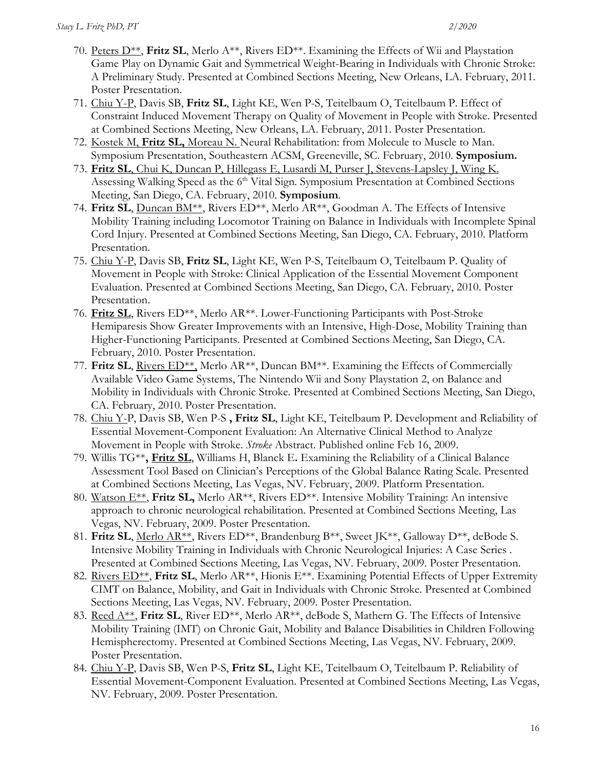- 70. Peters D\*\*, **Fritz SL**, Merlo A\*\*, Rivers ED\*\*. Examining the Effects of Wii and Playstation Game Play on Dynamic Gait and Symmetrical Weight-Bearing in Individuals with Chronic Stroke: A Preliminary Study. Presented at Combined Sections Meeting, New Orleans, LA. February, 2011. Poster Presentation.
- 71. Chiu Y-P, Davis SB, **Fritz SL**, Light KE, Wen P-S, Teitelbaum O, Teitelbaum P. Effect of Constraint Induced Movement Therapy on Quality of Movement in People with Stroke. Presented at Combined Sections Meeting, New Orleans, LA. February, 2011. Poster Presentation.
- 72. Kostek M, **Fritz SL,** Moreau N. Neural Rehabilitation: from Molecule to Muscle to Man. Symposium Presentation, Southeastern ACSM, Greeneville, SC. February, 2010. **Symposium.**
- 73. **Fritz SL**, Chui K, Duncan P, Hillegass E, Lusardi M, Purser J, Stevens-Lapsley J, Wing K. Assessing Walking Speed as the 6<sup>th</sup> Vital Sign. Symposium Presentation at Combined Sections Meeting, San Diego, CA. February, 2010. **Symposium**.
- 74. **Fritz SL**, Duncan BM\*\*, Rivers ED\*\*, Merlo AR\*\*, Goodman A. The Effects of Intensive Mobility Training including Locomotor Training on Balance in Individuals with Incomplete Spinal Cord Injury. Presented at Combined Sections Meeting, San Diego, CA. February, 2010. Platform Presentation.
- 75. Chiu Y-P, Davis SB, **Fritz SL**, Light KE, Wen P-S, Teitelbaum O, Teitelbaum P. Quality of Movement in People with Stroke: Clinical Application of the Essential Movement Component Evaluation. Presented at Combined Sections Meeting, San Diego, CA. February, 2010. Poster Presentation.
- 76. **Fritz SL**, Rivers ED\*\*, Merlo AR\*\*. Lower-Functioning Participants with Post-Stroke Hemiparesis Show Greater Improvements with an Intensive, High-Dose, Mobility Training than Higher-Functioning Participants. Presented at Combined Sections Meeting, San Diego, CA. February, 2010. Poster Presentation.
- 77. Fritz SL, Rivers ED<sup>\*\*</sup>, Merlo AR<sup>\*\*</sup>, Duncan BM<sup>\*\*</sup>. Examining the Effects of Commercially Available Video Game Systems, The Nintendo Wii and Sony Playstation 2, on Balance and Mobility in Individuals with Chronic Stroke. Presented at Combined Sections Meeting, San Diego, CA. February, 2010. Poster Presentation.
- 78. Chiu Y-P, Davis SB, Wen P-S **, Fritz SL**, Light KE, Teitelbaum P. Development and Reliability of Essential Movement-Component Evaluation: An Alternative Clinical Method to Analyze Movement in People with Stroke. *Stroke* Abstract. Published online Feb 16, 2009.
- 79. Willis TG\*\***, Fritz SL**, Williams H, Blanck E**.** Examining the Reliability of a Clinical Balance Assessment Tool Based on Clinician's Perceptions of the Global Balance Rating Scale. Presented at Combined Sections Meeting, Las Vegas, NV. February, 2009. Platform Presentation.
- 80. Watson E\*\*, **Fritz SL,** Merlo AR\*\*, Rivers ED\*\*. Intensive Mobility Training: An intensive approach to chronic neurological rehabilitation. Presented at Combined Sections Meeting, Las Vegas, NV. February, 2009. Poster Presentation.
- 81. Fritz SL, Merlo AR<sup>\*\*</sup>, Rivers ED<sup>\*\*</sup>, Brandenburg B<sup>\*\*</sup>, Sweet JK<sup>\*\*</sup>, Galloway D<sup>\*\*</sup>, deBode S. Intensive Mobility Training in Individuals with Chronic Neurological Injuries: A Case Series . Presented at Combined Sections Meeting, Las Vegas, NV. February, 2009. Poster Presentation.
- 82. Rivers ED\*\*, **Fritz SL**, Merlo AR\*\*, Hionis E\*\*. Examining Potential Effects of Upper Extremity CIMT on Balance, Mobility, and Gait in Individuals with Chronic Stroke. Presented at Combined Sections Meeting, Las Vegas, NV. February, 2009. Poster Presentation.
- 83. Reed A\*\*, **Fritz SL**, River ED\*\*, Merlo AR\*\*, deBode S, Mathern G. The Effects of Intensive Mobility Training (IMT) on Chronic Gait, Mobility and Balance Disabilities in Children Following Hemispherectomy. Presented at Combined Sections Meeting, Las Vegas, NV. February, 2009. Poster Presentation.
- 84. Chiu Y-P, Davis SB, Wen P-S, **Fritz SL**, Light KE, Teitelbaum O, Teitelbaum P. Reliability of Essential Movement-Component Evaluation. Presented at Combined Sections Meeting, Las Vegas, NV. February, 2009. Poster Presentation.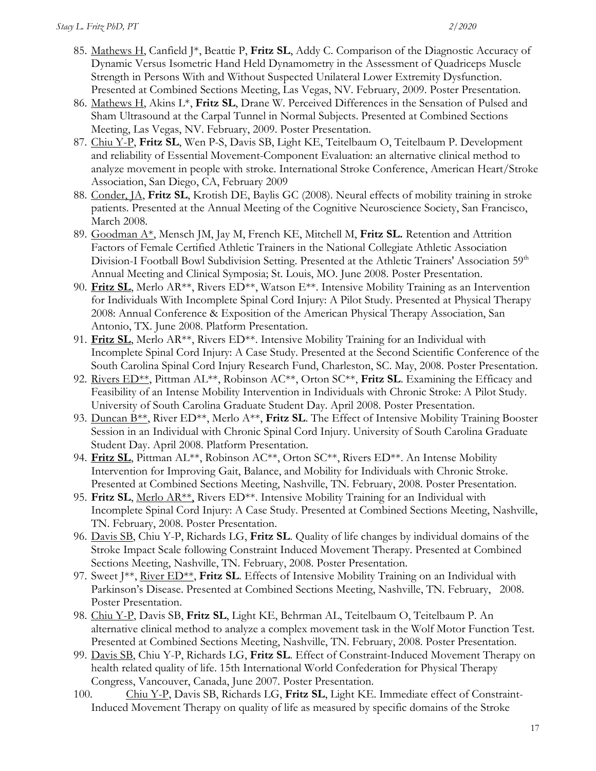- 85. Mathews H, Canfield J\*, Beattie P, **Fritz SL**, Addy C. Comparison of the Diagnostic Accuracy of Dynamic Versus Isometric Hand Held Dynamometry in the Assessment of Quadriceps Muscle Strength in Persons With and Without Suspected Unilateral Lower Extremity Dysfunction. Presented at Combined Sections Meeting, Las Vegas, NV. February, 2009. Poster Presentation.
- 86. Mathews H, Akins L\*, **Fritz SL**, Drane W. Perceived Differences in the Sensation of Pulsed and Sham Ultrasound at the Carpal Tunnel in Normal Subjects. Presented at Combined Sections Meeting, Las Vegas, NV. February, 2009. Poster Presentation.
- 87. Chiu Y-P, **Fritz SL**, Wen P-S, Davis SB, Light KE, Teitelbaum O, Teitelbaum P. Development and reliability of Essential Movement-Component Evaluation: an alternative clinical method to analyze movement in people with stroke. International Stroke Conference, American Heart/Stroke Association, San Diego, CA, February 2009
- 88. Conder, JA, **Fritz SL**, Krotish DE, Baylis GC (2008). Neural effects of mobility training in stroke patients. Presented at the Annual Meeting of the Cognitive Neuroscience Society, San Francisco, March 2008.
- 89. Goodman A\*, Mensch JM, Jay M, French KE, Mitchell M, **Fritz SL.** Retention and Attrition Factors of Female Certified Athletic Trainers in the National Collegiate Athletic Association Division-I Football Bowl Subdivision Setting. Presented at the Athletic Trainers' Association 59<sup>th</sup> Annual Meeting and Clinical Symposia; St. Louis, MO. June 2008. Poster Presentation.
- 90. **Fritz SL**, Merlo AR\*\*, Rivers ED\*\*, Watson E\*\*. Intensive Mobility Training as an Intervention for Individuals With Incomplete Spinal Cord Injury: A Pilot Study. Presented at Physical Therapy 2008: Annual Conference & Exposition of the American Physical Therapy Association, San Antonio, TX. June 2008. Platform Presentation.
- 91. **Fritz SL**, Merlo AR\*\*, Rivers ED\*\*. Intensive Mobility Training for an Individual with Incomplete Spinal Cord Injury: A Case Study. Presented at the Second Scientific Conference of the South Carolina Spinal Cord Injury Research Fund, Charleston, SC. May, 2008. Poster Presentation.
- 92. Rivers ED\*\*, Pittman AL\*\*, Robinson AC\*\*, Orton SC\*\*, **Fritz SL**. Examining the Efficacy and Feasibility of an Intense Mobility Intervention in Individuals with Chronic Stroke: A Pilot Study. University of South Carolina Graduate Student Day. April 2008. Poster Presentation.
- 93. Duncan B\*\*, River ED\*\*, Merlo A\*\*, **Fritz SL**. The Effect of Intensive Mobility Training Booster Session in an Individual with Chronic Spinal Cord Injury. University of South Carolina Graduate Student Day. April 2008. Platform Presentation.
- 94. Fritz SL, Pittman AL<sup>\*\*</sup>, Robinson AC<sup>\*\*</sup>, Orton SC<sup>\*\*</sup>, Rivers ED<sup>\*\*</sup>. An Intense Mobility Intervention for Improving Gait, Balance, and Mobility for Individuals with Chronic Stroke. Presented at Combined Sections Meeting, Nashville, TN. February, 2008. Poster Presentation.
- 95. **Fritz SL**, Merlo AR\*\*, Rivers ED\*\*. Intensive Mobility Training for an Individual with Incomplete Spinal Cord Injury: A Case Study. Presented at Combined Sections Meeting, Nashville, TN. February, 2008. Poster Presentation.
- 96. Davis SB, Chiu Y-P, Richards LG, **Fritz SL**. Quality of life changes by individual domains of the Stroke Impact Scale following Constraint Induced Movement Therapy. Presented at Combined Sections Meeting, Nashville, TN. February, 2008. Poster Presentation.
- 97. Sweet J\*\*, River ED\*\*, **Fritz SL**. Effects of Intensive Mobility Training on an Individual with Parkinson's Disease. Presented at Combined Sections Meeting, Nashville, TN. February, 2008. Poster Presentation.
- 98. Chiu Y-P, Davis SB, **Fritz SL**, Light KE, Behrman AL, Teitelbaum O, Teitelbaum P. An alternative clinical method to analyze a complex movement task in the Wolf Motor Function Test. Presented at Combined Sections Meeting, Nashville, TN. February, 2008. Poster Presentation.
- 99. Davis SB, Chiu Y-P, Richards LG, **Fritz SL**. Effect of Constraint-Induced Movement Therapy on health related quality of life. 15th International World Confederation for Physical Therapy Congress, Vancouver, Canada, June 2007. Poster Presentation.
- 100. Chiu Y-P, Davis SB, Richards LG, **Fritz SL**, Light KE. Immediate effect of Constraint-Induced Movement Therapy on quality of life as measured by specific domains of the Stroke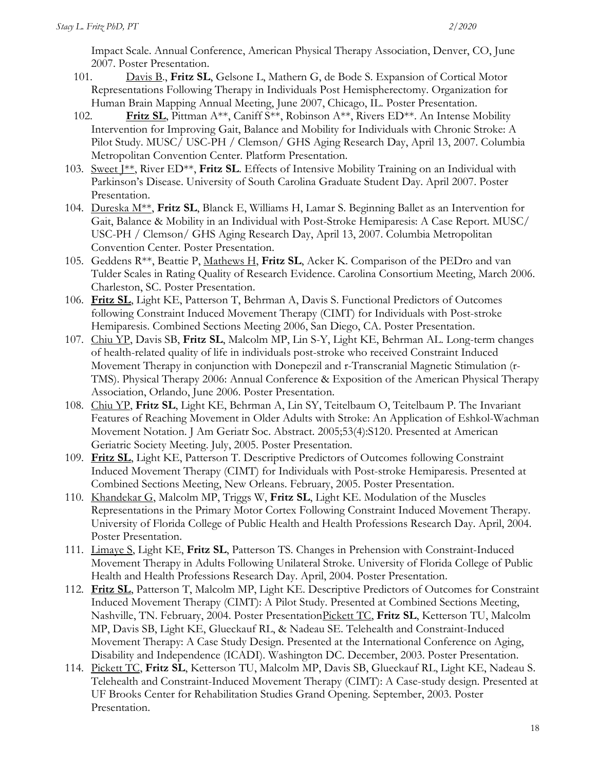Impact Scale. Annual Conference, American Physical Therapy Association, Denver, CO, June 2007. Poster Presentation.

- 101. Davis B., **Fritz SL**, Gelsone L, Mathern G, de Bode S. Expansion of Cortical Motor Representations Following Therapy in Individuals Post Hemispherectomy. Organization for Human Brain Mapping Annual Meeting, June 2007, Chicago, IL. Poster Presentation.
- 102. **Fritz SL**, Pittman A\*\*, Caniff S\*\*, Robinson A\*\*, Rivers ED\*\*. An Intense Mobility Intervention for Improving Gait, Balance and Mobility for Individuals with Chronic Stroke: A Pilot Study. MUSC/ USC-PH / Clemson/ GHS Aging Research Day, April 13, 2007. Columbia Metropolitan Convention Center. Platform Presentation.
- 103. Sweet J\*\*, River ED\*\*, **Fritz SL**. Effects of Intensive Mobility Training on an Individual with Parkinson's Disease. University of South Carolina Graduate Student Day. April 2007. Poster Presentation.
- 104. Dureska M\*\*, **Fritz SL**, Blanck E, Williams H, Lamar S. Beginning Ballet as an Intervention for Gait, Balance & Mobility in an Individual with Post-Stroke Hemiparesis: A Case Report. MUSC/ USC-PH / Clemson/ GHS Aging Research Day, April 13, 2007. Columbia Metropolitan Convention Center. Poster Presentation.
- 105. Geddens R\*\*, Beattie P, Mathews H, **Fritz SL**, Acker K. Comparison of the PEDro and van Tulder Scales in Rating Quality of Research Evidence. Carolina Consortium Meeting, March 2006. Charleston, SC. Poster Presentation.
- 106. **Fritz SL**, Light KE, Patterson T, Behrman A, Davis S. Functional Predictors of Outcomes following Constraint Induced Movement Therapy (CIMT) for Individuals with Post-stroke Hemiparesis. Combined Sections Meeting 2006, San Diego, CA. Poster Presentation.
- 107. Chiu YP, Davis SB, **Fritz SL**, Malcolm MP, Lin S-Y, Light KE, Behrman AL. Long-term changes of health-related quality of life in individuals post-stroke who received Constraint Induced Movement Therapy in conjunction with Donepezil and r-Transcranial Magnetic Stimulation (r-TMS). Physical Therapy 2006: Annual Conference & Exposition of the American Physical Therapy Association, Orlando, June 2006. Poster Presentation.
- 108. Chiu YP, **Fritz SL**, Light KE, Behrman A, Lin SY, Teitelbaum O, Teitelbaum P. The Invariant Features of Reaching Movement in Older Adults with Stroke: An Application of Eshkol-Wachman Movement Notation. J Am Geriatr Soc. Abstract. 2005;53(4):S120. Presented at American Geriatric Society Meeting. July, 2005. Poster Presentation.
- 109. **Fritz SL**, Light KE, Patterson T. Descriptive Predictors of Outcomes following Constraint Induced Movement Therapy (CIMT) for Individuals with Post-stroke Hemiparesis. Presented at Combined Sections Meeting, New Orleans. February, 2005. Poster Presentation.
- 110. Khandekar G, Malcolm MP, Triggs W, **Fritz SL**, Light KE. Modulation of the Muscles Representations in the Primary Motor Cortex Following Constraint Induced Movement Therapy. University of Florida College of Public Health and Health Professions Research Day. April, 2004. Poster Presentation.
- 111. Limaye S, Light KE, **Fritz SL**, Patterson TS. Changes in Prehension with Constraint-Induced Movement Therapy in Adults Following Unilateral Stroke. University of Florida College of Public Health and Health Professions Research Day. April, 2004. Poster Presentation.
- 112. **Fritz SL**, Patterson T, Malcolm MP, Light KE. Descriptive Predictors of Outcomes for Constraint Induced Movement Therapy (CIMT): A Pilot Study. Presented at Combined Sections Meeting, Nashville, TN. February, 2004. Poster PresentationPickett TC, **Fritz SL**, Ketterson TU, Malcolm MP, Davis SB, Light KE, Glueckauf RL, & Nadeau SE. Telehealth and Constraint-Induced Movement Therapy: A Case Study Design. Presented at the International Conference on Aging, Disability and Independence (ICADI). Washington DC. December, 2003. Poster Presentation.
- 114. Pickett TC, **Fritz SL**, Ketterson TU, Malcolm MP, Davis SB, Glueckauf RL, Light KE, Nadeau S. Telehealth and Constraint-Induced Movement Therapy (CIMT): A Case-study design. Presented at UF Brooks Center for Rehabilitation Studies Grand Opening. September, 2003. Poster Presentation.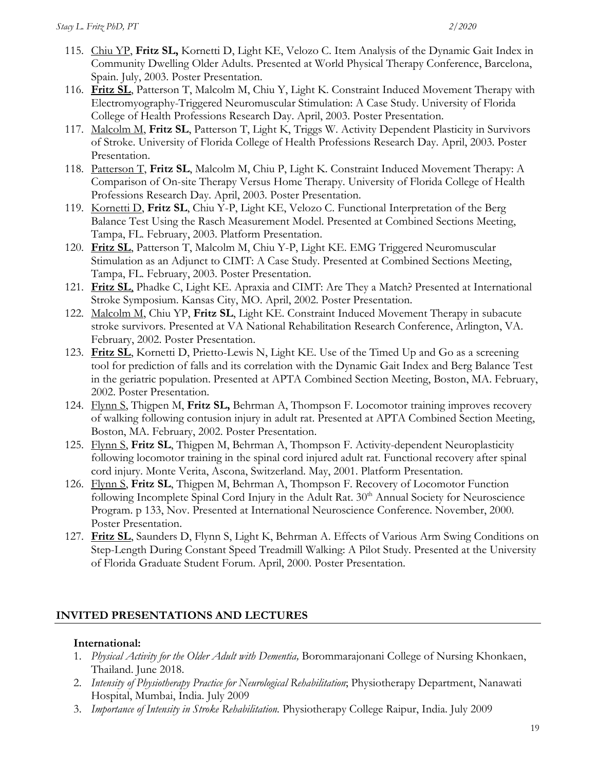- 115. Chiu YP, **Fritz SL,** Kornetti D, Light KE, Velozo C. Item Analysis of the Dynamic Gait Index in Community Dwelling Older Adults. Presented at World Physical Therapy Conference, Barcelona, Spain. July, 2003. Poster Presentation.
- 116. **Fritz SL**, Patterson T, Malcolm M, Chiu Y, Light K. Constraint Induced Movement Therapy with Electromyography-Triggered Neuromuscular Stimulation: A Case Study. University of Florida College of Health Professions Research Day. April, 2003. Poster Presentation.
- 117. Malcolm M, **Fritz SL**, Patterson T, Light K, Triggs W. Activity Dependent Plasticity in Survivors of Stroke. University of Florida College of Health Professions Research Day. April, 2003. Poster Presentation.
- 118. Patterson T, **Fritz SL**, Malcolm M, Chiu P, Light K. Constraint Induced Movement Therapy: A Comparison of On-site Therapy Versus Home Therapy. University of Florida College of Health Professions Research Day. April, 2003. Poster Presentation.
- 119. Kornetti D, **Fritz SL**, Chiu Y-P, Light KE, Velozo C. Functional Interpretation of the Berg Balance Test Using the Rasch Measurement Model. Presented at Combined Sections Meeting, Tampa, FL. February, 2003. Platform Presentation.
- 120. **Fritz SL**, Patterson T, Malcolm M, Chiu Y-P, Light KE. EMG Triggered Neuromuscular Stimulation as an Adjunct to CIMT: A Case Study. Presented at Combined Sections Meeting, Tampa, FL. February, 2003. Poster Presentation.
- 121. **Fritz SL**, Phadke C, Light KE. Apraxia and CIMT: Are They a Match? Presented at International Stroke Symposium. Kansas City, MO. April, 2002. Poster Presentation.
- 122. Malcolm M, Chiu YP, **Fritz SL**, Light KE. Constraint Induced Movement Therapy in subacute stroke survivors. Presented at VA National Rehabilitation Research Conference, Arlington, VA. February, 2002. Poster Presentation.
- 123. **Fritz SL**, Kornetti D, Prietto-Lewis N, Light KE. Use of the Timed Up and Go as a screening tool for prediction of falls and its correlation with the Dynamic Gait Index and Berg Balance Test in the geriatric population. Presented at APTA Combined Section Meeting, Boston, MA. February, 2002. Poster Presentation.
- 124. Flynn S, Thigpen M, **Fritz SL,** Behrman A, Thompson F. Locomotor training improves recovery of walking following contusion injury in adult rat. Presented at APTA Combined Section Meeting, Boston, MA. February, 2002. Poster Presentation.
- 125. Flynn S, **Fritz SL**, Thigpen M, Behrman A, Thompson F. Activity-dependent Neuroplasticity following locomotor training in the spinal cord injured adult rat. Functional recovery after spinal cord injury. Monte Verita, Ascona, Switzerland. May, 2001. Platform Presentation.
- 126. Flynn S, **Fritz SL**, Thigpen M, Behrman A, Thompson F. Recovery of Locomotor Function following Incomplete Spinal Cord Injury in the Adult Rat. 30<sup>th</sup> Annual Society for Neuroscience Program. p 133, Nov. Presented at International Neuroscience Conference. November, 2000. Poster Presentation.
- 127. **Fritz SL**, Saunders D, Flynn S, Light K, Behrman A. Effects of Various Arm Swing Conditions on Step-Length During Constant Speed Treadmill Walking: A Pilot Study. Presented at the University of Florida Graduate Student Forum. April, 2000. Poster Presentation.

## **INVITED PRESENTATIONS AND LECTURES**

#### **International:**

- 1. *Physical Activity for the Older Adult with Dementia,* Borommarajonani College of Nursing Khonkaen, Thailand. June 2018.
- 2. *Intensity of Physiotherapy Practice for Neurological Rehabilitation*; Physiotherapy Department, Nanawati Hospital, Mumbai, India. July 2009
- 3. *Importance of Intensity in Stroke Rehabilitation.* Physiotherapy College Raipur, India. July 2009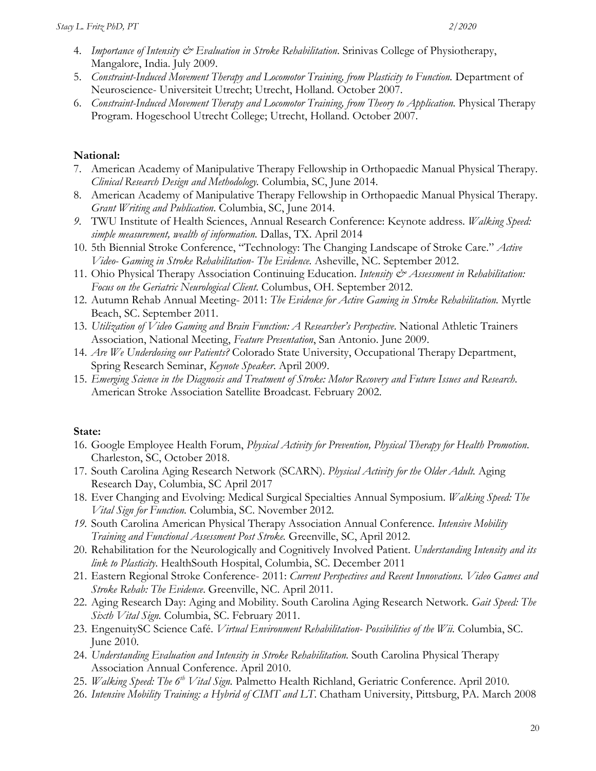- 4. *Importance of Intensity & Evaluation in Stroke Rehabilitation*. Srinivas College of Physiotherapy, Mangalore, India. July 2009.
- 5. *Constraint-Induced Movement Therapy and Locomotor Training, from Plasticity to Function.* Department of Neuroscience- Universiteit Utrecht; Utrecht, Holland. October 2007.
- 6. *Constraint-Induced Movement Therapy and Locomotor Training, from Theory to Application.* Physical Therapy Program. Hogeschool Utrecht College; Utrecht, Holland. October 2007.

#### **National:**

- 7. American Academy of Manipulative Therapy Fellowship in Orthopaedic Manual Physical Therapy. *Clinical Research Design and Methodology.* Columbia, SC, June 2014.
- 8. American Academy of Manipulative Therapy Fellowship in Orthopaedic Manual Physical Therapy. *Grant Writing and Publication*. Columbia, SC, June 2014.
- *9.* TWU Institute of Health Sciences, Annual Research Conference: Keynote address. *Walking Speed: simple measurement, wealth of information.* Dallas, TX. April 2014
- 10. 5th Biennial Stroke Conference, "Technology: The Changing Landscape of Stroke Care." *Active Video- Gaming in Stroke Rehabilitation- The Evidence.* Asheville, NC. September 2012.
- 11. Ohio Physical Therapy Association Continuing Education. *Intensity & Assessment in Rehabilitation: Focus on the Geriatric Neurological Client*. Columbus, OH. September 2012.
- 12. Autumn Rehab Annual Meeting- 2011: *The Evidence for Active Gaming in Stroke Rehabilitation.* Myrtle Beach, SC. September 2011.
- 13. *Utilization of Video Gaming and Brain Function: A Researcher's Perspective*. National Athletic Trainers Association, National Meeting, *Feature Presentation*, San Antonio. June 2009.
- 14. *Are We Underdosing our Patients?* Colorado State University, Occupational Therapy Department, Spring Research Seminar, *Keynote Speaker*. April 2009.
- 15. *Emerging Science in the Diagnosis and Treatment of Stroke: Motor Recovery and Future Issues and Research*. American Stroke Association Satellite Broadcast. February 2002.

#### **State:**

- 16. Google Employee Health Forum, *Physical Activity for Prevention, Physical Therapy for Health Promotion*. Charleston, SC, October 2018.
- 17. South Carolina Aging Research Network (SCARN). *Physical Activity for the Older Adult.* Aging Research Day, Columbia, SC April 2017
- 18. Ever Changing and Evolving: Medical Surgical Specialties Annual Symposium. *Walking Speed: The Vital Sign for Function.* Columbia, SC. November 2012.
- *19.* South Carolina American Physical Therapy Association Annual Conference*. Intensive Mobility Training and Functional Assessment Post Stroke.* Greenville, SC, April 2012.
- 20. Rehabilitation for the Neurologically and Cognitively Involved Patient. *Understanding Intensity and its link to Plasticity*. HealthSouth Hospital, Columbia, SC. December 2011
- 21. Eastern Regional Stroke Conference- 2011: *Current Perspectives and Recent Innovations. Video Games and Stroke Rehab: The Evidence*. Greenville, NC. April 2011.
- 22. Aging Research Day: Aging and Mobility. South Carolina Aging Research Network*. Gait Speed: The Sixth Vital Sign.* Columbia, SC. February 2011.
- 23. EngenuitySC Science Café. *Virtual Environment Rehabilitation- Possibilities of the Wii.* Columbia, SC. June 2010.
- 24. *Understanding Evaluation and Intensity in Stroke Rehabilitation.* South Carolina Physical Therapy Association Annual Conference. April 2010.
- 25. *Walking Speed: The 6th Vital Sign.* Palmetto Health Richland, Geriatric Conference. April 2010.
- 26. *Intensive Mobility Training: a Hybrid of CIMT and LT*. Chatham University, Pittsburg, PA. March 2008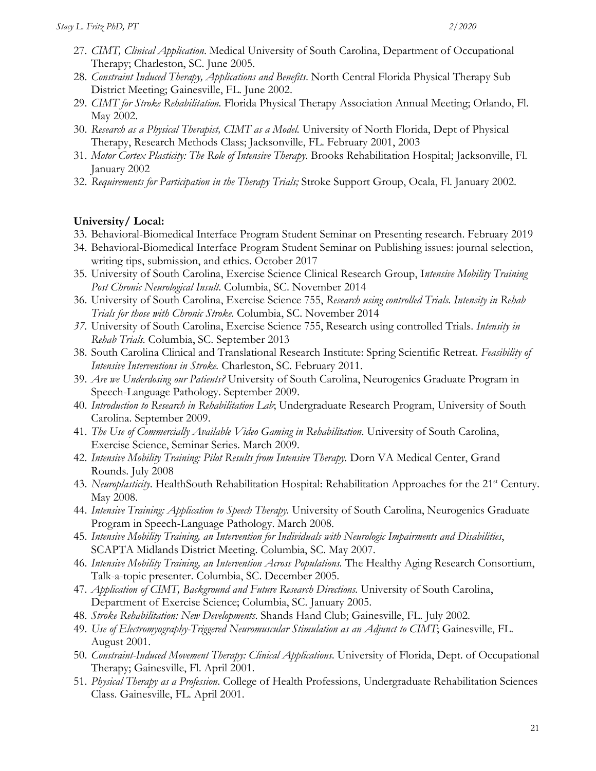- 27. *CIMT, Clinical Application*. Medical University of South Carolina, Department of Occupational Therapy; Charleston, SC. June 2005.
- 28. *Constraint Induced Therapy, Applications and Benefits*. North Central Florida Physical Therapy Sub District Meeting; Gainesville, FL. June 2002.
- 29. *CIMT for Stroke Rehabilitation.* Florida Physical Therapy Association Annual Meeting; Orlando, Fl. May 2002.
- 30. *Research as a Physical Therapist, CIMT as a Model.* University of North Florida, Dept of Physical Therapy, Research Methods Class; Jacksonville, FL. February 2001, 2003
- 31. *Motor Cortex Plasticity: The Role of Intensive Therapy*. Brooks Rehabilitation Hospital; Jacksonville, Fl. January 2002
- 32. *Requirements for Participation in the Therapy Trials;* Stroke Support Group, Ocala, Fl. January 2002.

#### **University/ Local:**

- 33. Behavioral-Biomedical Interface Program Student Seminar on Presenting research. February 2019
- 34. Behavioral-Biomedical Interface Program Student Seminar on Publishing issues: journal selection, writing tips, submission, and ethics. October 2017
- 35. University of South Carolina, Exercise Science Clinical Research Group, I*ntensive Mobility Training Post Chronic Neurological Insult*. Columbia, SC. November 2014
- 36. University of South Carolina, Exercise Science 755, *Research using controlled Trials. Intensity in Rehab Trials for those with Chronic Stroke*. Columbia, SC. November 2014
- *37.* University of South Carolina, Exercise Science 755, Research using controlled Trials. *Intensity in Rehab Trials.* Columbia, SC. September 2013
- 38. South Carolina Clinical and Translational Research Institute: Spring Scientific Retreat. *Feasibility of Intensive Interventions in Stroke.* Charleston, SC. February 2011.
- 39. *Are we Underdosing our Patients?* University of South Carolina, Neurogenics Graduate Program in Speech-Language Pathology. September 2009.
- 40. *Introduction to Research in Rehabilitation Lab*; Undergraduate Research Program, University of South Carolina. September 2009.
- 41. *The Use of Commercially Available Video Gaming in Rehabilitation*. University of South Carolina, Exercise Science, Seminar Series. March 2009.
- 42. *Intensive Mobility Training: Pilot Results from Intensive Therapy.* Dorn VA Medical Center, Grand Rounds. July 2008
- 43. *Neuroplasticity*. HealthSouth Rehabilitation Hospital: Rehabilitation Approaches for the 21<sup>st</sup> Century. May 2008.
- 44. *Intensive Training: Application to Speech Therapy.* University of South Carolina, Neurogenics Graduate Program in Speech-Language Pathology. March 2008.
- 45. *Intensive Mobility Training, an Intervention for Individuals with Neurologic Impairments and Disabilities*, SCAPTA Midlands District Meeting. Columbia, SC. May 2007.
- 46. *Intensive Mobility Training, an Intervention Across Populations.* The Healthy Aging Research Consortium, Talk-a-topic presenter. Columbia, SC. December 2005.
- 47. *Application of CIMT, Background and Future Research Directions.* University of South Carolina, Department of Exercise Science; Columbia, SC. January 2005.
- 48. *Stroke Rehabilitation: New Developments*. Shands Hand Club; Gainesville, FL. July 2002.
- 49. *Use of Electromyography-Triggered Neuromuscular Stimulation as an Adjunct to CIMT*; Gainesville, FL. August 2001.
- 50. *Constraint-Induced Movement Therapy: Clinical Applications*. University of Florida, Dept. of Occupational Therapy; Gainesville, Fl. April 2001.
- 51. *Physical Therapy as a Profession*. College of Health Professions, Undergraduate Rehabilitation Sciences Class. Gainesville, FL. April 2001.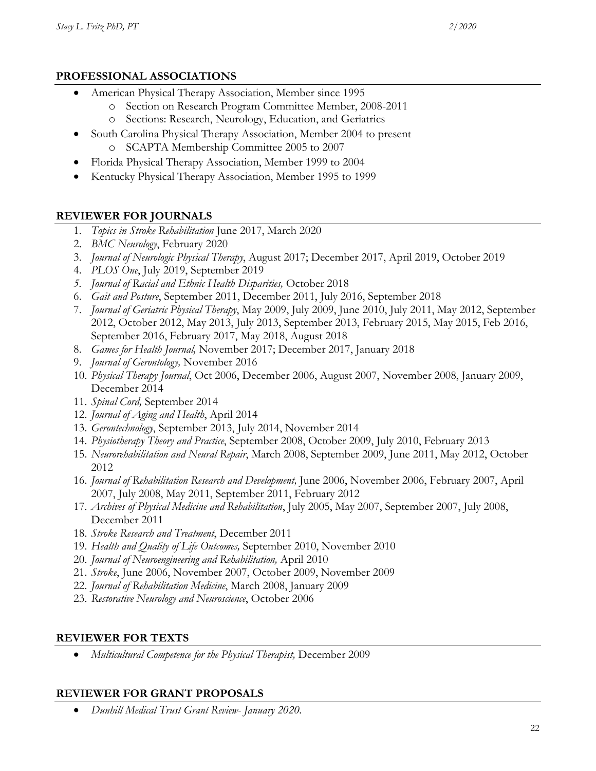#### **PROFESSIONAL ASSOCIATIONS**

- American Physical Therapy Association, Member since 1995
	- o Section on Research Program Committee Member, 2008-2011
	- o Sections: Research, Neurology, Education, and Geriatrics
- South Carolina Physical Therapy Association, Member 2004 to present o SCAPTA Membership Committee 2005 to 2007
- Florida Physical Therapy Association, Member 1999 to 2004
- Kentucky Physical Therapy Association, Member 1995 to 1999

### **REVIEWER FOR JOURNALS**

- 1. *Topics in Stroke Rehabilitation* June 2017, March 2020
- 2. *BMC Neurology*, February 2020
- 3. *Journal of Neurologic Physical Therapy*, August 2017; December 2017, April 2019, October 2019
- 4. *PLOS One*, July 2019, September 2019
- *5. Journal of Racial and Ethnic Health Disparities,* October 2018
- 6. *Gait and Posture*, September 2011, December 2011, July 2016, September 2018
- 7. *Journal of Geriatric Physical Therapy*, May 2009, July 2009, June 2010, July 2011, May 2012, September 2012, October 2012, May 2013, July 2013, September 2013, February 2015, May 2015, Feb 2016, September 2016, February 2017, May 2018, August 2018
- 8. *Games for Health Journal,* November 2017; December 2017, January 2018
- 9. *Journal of Gerontology,* November 2016
- 10. *Physical Therapy Journal*, Oct 2006, December 2006, August 2007, November 2008, January 2009, December 2014
- 11. *Spinal Cord,* September 2014
- 12. *Journal of Aging and Health*, April 2014
- 13. *Gerontechnology*, September 2013, July 2014, November 2014
- 14. *Physiotherapy Theory and Practice*, September 2008, October 2009, July 2010, February 2013
- 15. *Neurorehabilitation and Neural Repair*, March 2008, September 2009, June 2011, May 2012, October 2012
- 16. *Journal of Rehabilitation Research and Development,* June 2006, November 2006, February 2007, April 2007, July 2008, May 2011, September 2011, February 2012
- 17. *Archives of Physical Medicine and Rehabilitation*, July 2005, May 2007, September 2007, July 2008, December 2011
- 18. *Stroke Research and Treatment*, December 2011
- 19. *Health and Quality of Life Outcomes,* September 2010, November 2010
- 20. *Journal of Neuroengineering and Rehabilitation,* April 2010
- 21. *Stroke*, June 2006, November 2007, October 2009, November 2009
- 22. *Journal of Rehabilitation Medicine*, March 2008, January 2009
- 23. *Restorative Neurology and Neuroscience*, October 2006

#### **REVIEWER FOR TEXTS**

• *Multicultural Competence for the Physical Therapist,* December 2009

## **REVIEWER FOR GRANT PROPOSALS**

• *Dunhill Medical Trust Grant Review- January 2020.*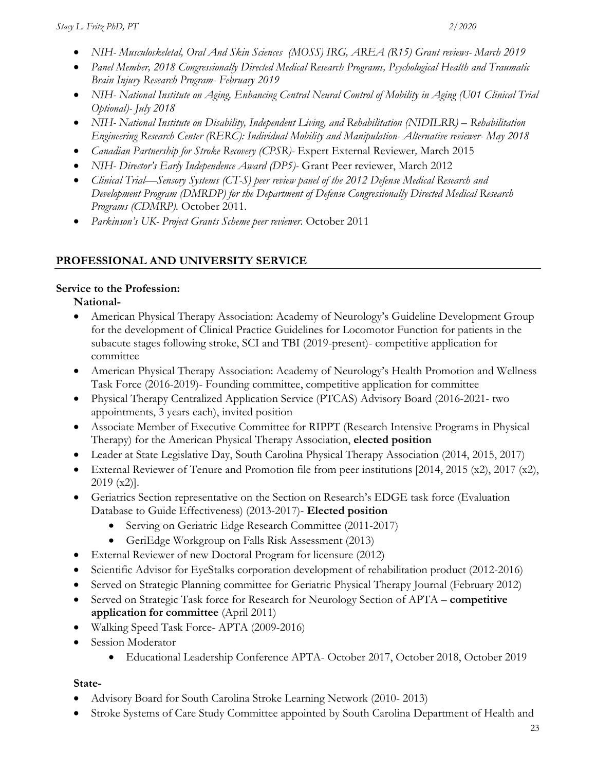- *NIH- Musculoskeletal, Oral And Skin Sciences (MOSS) IRG, AREA (R15) Grant reviews- March 2019*
- *Panel Member, 2018 Congressionally Directed Medical Research Programs, Psychological Health and Traumatic Brain Injury Research Program- February 2019*
- *NIH- National Institute on Aging, Enhancing Central Neural Control of Mobility in Aging (U01 Clinical Trial Optional)- July 2018*
- *NIH- National Institute on Disability, Independent Living, and Rehabilitation (NIDILRR) – Rehabilitation Engineering Research Center (RERC): Individual Mobility and Manipulation- Alternative reviewer- May 2018*
- *Canadian Partnership for Stroke Recovery (CPSR)-* Expert External Reviewer*,* March 2015
- *NIH- Director's Early Independence Award (DP5)-* Grant Peer reviewer, March 2012
- *Clinical Trial—Sensory Systems (CT-S) peer review panel of the 2012 Defense Medical Research and Development Program (DMRDP) for the Department of Defense Congressionally Directed Medical Research Programs (CDMRP).* October 2011.
- *Parkinson's UK- Project Grants Scheme peer reviewer.* October 2011

## **PROFESSIONAL AND UNIVERSITY SERVICE**

### **Service to the Profession:**

**National-**

- American Physical Therapy Association: Academy of Neurology's Guideline Development Group for the development of Clinical Practice Guidelines for Locomotor Function for patients in the subacute stages following stroke, SCI and TBI (2019-present)- competitive application for committee
- American Physical Therapy Association: Academy of Neurology's Health Promotion and Wellness Task Force (2016-2019)- Founding committee, competitive application for committee
- Physical Therapy Centralized Application Service (PTCAS) Advisory Board (2016-2021- two appointments, 3 years each), invited position
- Associate Member of Executive Committee for RIPPT (Research Intensive Programs in Physical Therapy) for the American Physical Therapy Association, **elected position**
- Leader at State Legislative Day, South Carolina Physical Therapy Association (2014, 2015, 2017)
- External Reviewer of Tenure and Promotion file from peer institutions [2014, 2015 (x2), 2017 (x2), 2019 (x2)].
- Geriatrics Section representative on the Section on Research's EDGE task force (Evaluation Database to Guide Effectiveness) (2013-2017)- **Elected position**
	- Serving on Geriatric Edge Research Committee (2011-2017)
	- GeriEdge Workgroup on Falls Risk Assessment (2013)
- External Reviewer of new Doctoral Program for licensure (2012)
- Scientific Advisor for EyeStalks corporation development of rehabilitation product (2012-2016)
- Served on Strategic Planning committee for Geriatric Physical Therapy Journal (February 2012)
- Served on Strategic Task force for Research for Neurology Section of APTA **competitive application for committee** (April 2011)
- Walking Speed Task Force- APTA (2009-2016)
- Session Moderator
	- Educational Leadership Conference APTA- October 2017, October 2018, October 2019

## **State-**

- Advisory Board for South Carolina Stroke Learning Network (2010- 2013)
- Stroke Systems of Care Study Committee appointed by South Carolina Department of Health and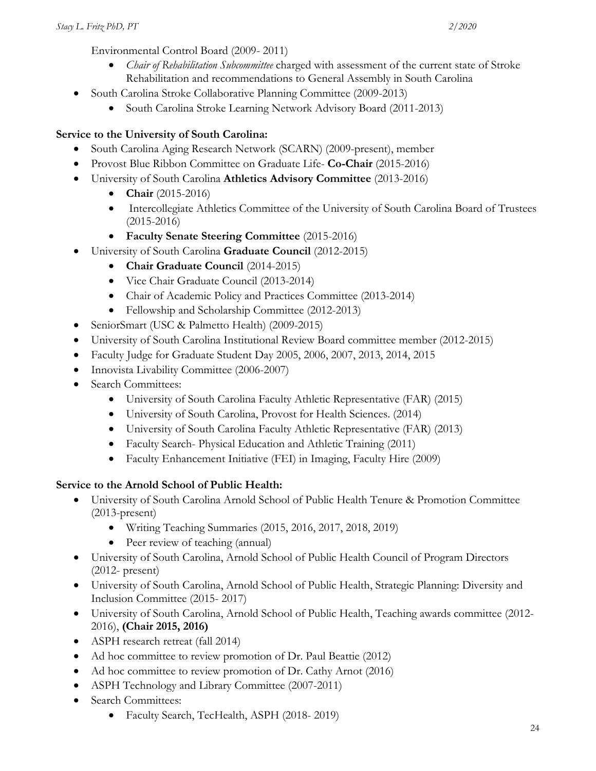Environmental Control Board (2009- 2011)

- *Chair of Rehabilitation Subcommittee* charged with assessment of the current state of Stroke Rehabilitation and recommendations to General Assembly in South Carolina
- South Carolina Stroke Collaborative Planning Committee (2009-2013)
	- South Carolina Stroke Learning Network Advisory Board (2011-2013)

# **Service to the University of South Carolina:**

- South Carolina Aging Research Network (SCARN) (2009-present), member
- Provost Blue Ribbon Committee on Graduate Life- **Co-Chair** (2015-2016)
- University of South Carolina **Athletics Advisory Committee** (2013-2016)
	- **Chair** (2015-2016)
	- Intercollegiate Athletics Committee of the University of South Carolina Board of Trustees (2015-2016)
	- **Faculty Senate Steering Committee** (2015-2016)
- University of South Carolina **Graduate Council** (2012-2015)
	- **Chair Graduate Council** (2014-2015)
	- Vice Chair Graduate Council (2013-2014)
	- Chair of Academic Policy and Practices Committee (2013-2014)
	- Fellowship and Scholarship Committee (2012-2013)
- SeniorSmart (USC & Palmetto Health) (2009-2015)
- University of South Carolina Institutional Review Board committee member (2012-2015)
- Faculty Judge for Graduate Student Day 2005, 2006, 2007, 2013, 2014, 2015
- Innovista Livability Committee (2006-2007)
- Search Committees:
	- University of South Carolina Faculty Athletic Representative (FAR) (2015)
	- University of South Carolina, Provost for Health Sciences. (2014)
	- University of South Carolina Faculty Athletic Representative (FAR) (2013)
	- Faculty Search- Physical Education and Athletic Training (2011)
	- Faculty Enhancement Initiative (FEI) in Imaging, Faculty Hire (2009)

# **Service to the Arnold School of Public Health:**

- University of South Carolina Arnold School of Public Health Tenure & Promotion Committee (2013-present)
	- Writing Teaching Summaries (2015, 2016, 2017, 2018, 2019)
	- Peer review of teaching (annual)
- University of South Carolina, Arnold School of Public Health Council of Program Directors (2012- present)
- University of South Carolina, Arnold School of Public Health, Strategic Planning: Diversity and Inclusion Committee (2015- 2017)
- University of South Carolina, Arnold School of Public Health, Teaching awards committee (2012- 2016), **(Chair 2015, 2016)**
- ASPH research retreat (fall 2014)
- Ad hoc committee to review promotion of Dr. Paul Beattie (2012)
- Ad hoc committee to review promotion of Dr. Cathy Arnot (2016)
- ASPH Technology and Library Committee (2007-2011)
- Search Committees:
	- Faculty Search, TecHealth, ASPH (2018-2019)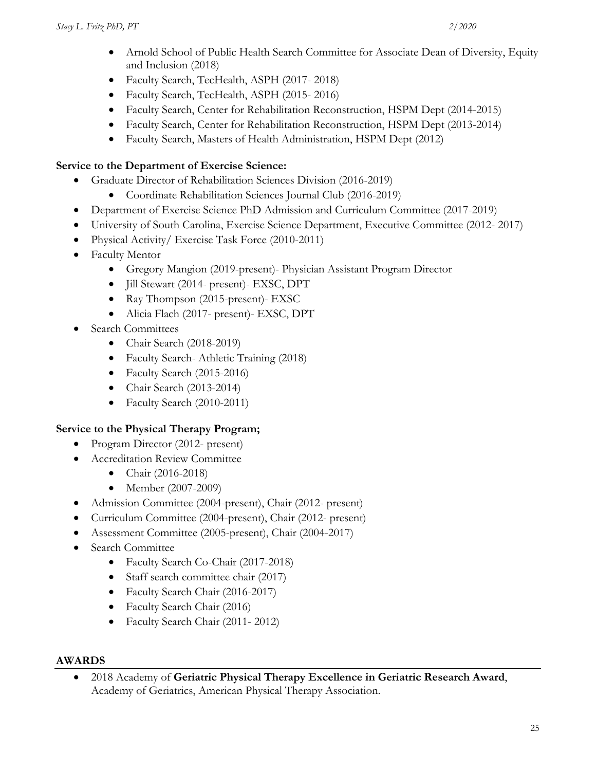- Arnold School of Public Health Search Committee for Associate Dean of Diversity, Equity and Inclusion (2018)
- Faculty Search, TecHealth, ASPH (2017- 2018)
- Faculty Search, TecHealth, ASPH (2015- 2016)
- Faculty Search, Center for Rehabilitation Reconstruction, HSPM Dept (2014-2015)
- Faculty Search, Center for Rehabilitation Reconstruction, HSPM Dept (2013-2014)
- Faculty Search, Masters of Health Administration, HSPM Dept (2012)

#### **Service to the Department of Exercise Science:**

- Graduate Director of Rehabilitation Sciences Division (2016-2019)
	- Coordinate Rehabilitation Sciences Journal Club (2016-2019)
- Department of Exercise Science PhD Admission and Curriculum Committee (2017-2019)
- University of South Carolina, Exercise Science Department, Executive Committee (2012- 2017)
- Physical Activity/ Exercise Task Force (2010-2011)
- Faculty Mentor
	- Gregory Mangion (2019-present)- Physician Assistant Program Director
	- Jill Stewart (2014- present)- EXSC, DPT
	- Ray Thompson (2015-present)- EXSC
	- Alicia Flach (2017- present)- EXSC, DPT
- Search Committees
	- Chair Search (2018-2019)
	- Faculty Search- Athletic Training (2018)
	- Faculty Search (2015-2016)
	- Chair Search (2013-2014)
	- Faculty Search (2010-2011)

#### **Service to the Physical Therapy Program;**

- Program Director (2012- present)
- Accreditation Review Committee
	- Chair (2016-2018)
	- Member (2007-2009)
- Admission Committee (2004-present), Chair (2012- present)
- Curriculum Committee (2004-present), Chair (2012- present)
- Assessment Committee (2005-present), Chair (2004-2017)
- Search Committee
	- Faculty Search Co-Chair (2017-2018)
	- Staff search committee chair (2017)
	- Faculty Search Chair (2016-2017)
	- Faculty Search Chair (2016)
	- Faculty Search Chair (2011- 2012)

#### **AWARDS**

• 2018 Academy of **Geriatric Physical Therapy Excellence in Geriatric Research Award**, Academy of Geriatrics, American Physical Therapy Association.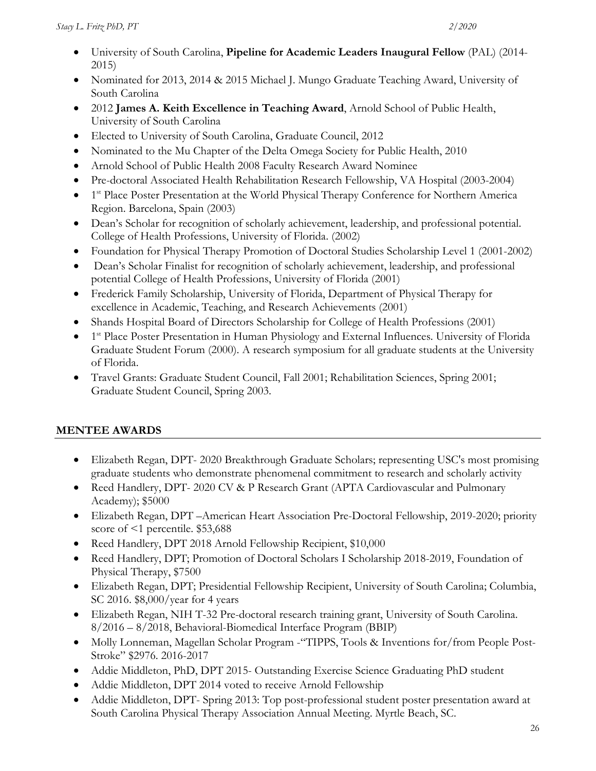- University of South Carolina, **Pipeline for Academic Leaders Inaugural Fellow** (PAL) (2014- 2015)
- Nominated for 2013, 2014 & 2015 Michael J. Mungo Graduate Teaching Award, University of South Carolina
- 2012 **James A. Keith Excellence in Teaching Award**, Arnold School of Public Health, University of South Carolina
- Elected to University of South Carolina, Graduate Council, 2012
- Nominated to the Mu Chapter of the Delta Omega Society for Public Health, 2010
- Arnold School of Public Health 2008 Faculty Research Award Nominee
- Pre-doctoral Associated Health Rehabilitation Research Fellowship, VA Hospital (2003-2004)
- 1<sup>st</sup> Place Poster Presentation at the World Physical Therapy Conference for Northern America Region. Barcelona, Spain (2003)
- Dean's Scholar for recognition of scholarly achievement, leadership, and professional potential. College of Health Professions, University of Florida. (2002)
- Foundation for Physical Therapy Promotion of Doctoral Studies Scholarship Level 1 (2001-2002)
- Dean's Scholar Finalist for recognition of scholarly achievement, leadership, and professional potential College of Health Professions, University of Florida (2001)
- Frederick Family Scholarship, University of Florida, Department of Physical Therapy for excellence in Academic, Teaching, and Research Achievements (2001)
- Shands Hospital Board of Directors Scholarship for College of Health Professions (2001)
- 1<sup>st</sup> Place Poster Presentation in Human Physiology and External Influences. University of Florida Graduate Student Forum (2000). A research symposium for all graduate students at the University of Florida.
- Travel Grants: Graduate Student Council, Fall 2001; Rehabilitation Sciences, Spring 2001; Graduate Student Council, Spring 2003.

# **MENTEE AWARDS**

- Elizabeth Regan, DPT- 2020 Breakthrough Graduate Scholars; representing USC's most promising graduate students who demonstrate phenomenal commitment to research and scholarly activity
- Reed Handlery, DPT- 2020 CV & P Research Grant (APTA Cardiovascular and Pulmonary Academy); \$5000
- Elizabeth Regan, DPT –American Heart Association Pre-Doctoral Fellowship, 2019-2020; priority score of <1 percentile. \$53,688
- Reed Handlery, DPT 2018 Arnold Fellowship Recipient, \$10,000
- Reed Handlery, DPT; Promotion of Doctoral Scholars I Scholarship 2018-2019, Foundation of Physical Therapy, \$7500
- Elizabeth Regan, DPT; Presidential Fellowship Recipient, University of South Carolina; Columbia, SC 2016. \$8,000/year for 4 years
- Elizabeth Regan, NIH T-32 Pre-doctoral research training grant, University of South Carolina. 8/2016 – 8/2018, Behavioral-Biomedical Interface Program (BBIP)
- Molly Lonneman, Magellan Scholar Program -"TIPPS, Tools & Inventions for/from People Post-Stroke" \$2976. 2016-2017
- Addie Middleton, PhD, DPT 2015- Outstanding Exercise Science Graduating PhD student
- Addie Middleton, DPT 2014 voted to receive Arnold Fellowship
- Addie Middleton, DPT- Spring 2013: Top post-professional student poster presentation award at South Carolina Physical Therapy Association Annual Meeting. Myrtle Beach, SC.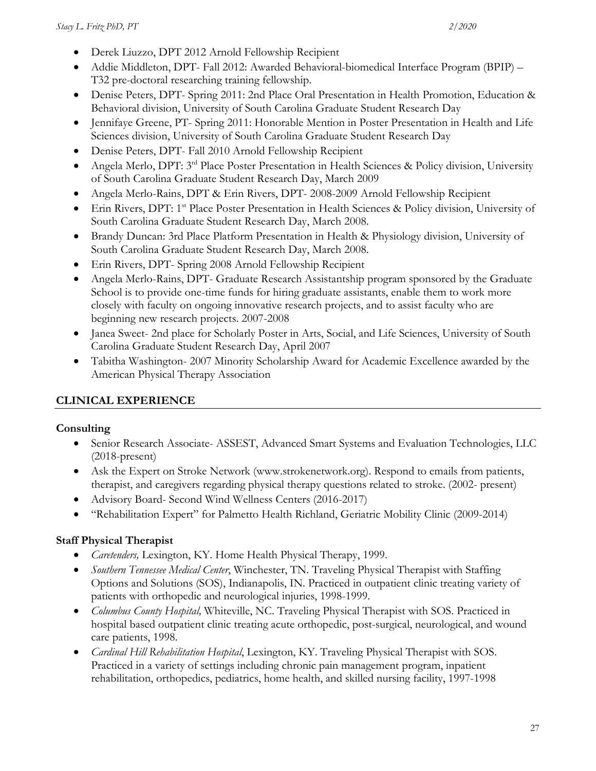- Derek Liuzzo, DPT 2012 Arnold Fellowship Recipient
- Addie Middleton, DPT- Fall 2012: Awarded Behavioral-biomedical Interface Program (BPIP) T32 pre-doctoral researching training fellowship.
- Denise Peters, DPT- Spring 2011: 2nd Place Oral Presentation in Health Promotion, Education & Behavioral division, University of South Carolina Graduate Student Research Day
- Jennifaye Greene, PT- Spring 2011: Honorable Mention in Poster Presentation in Health and Life Sciences division, University of South Carolina Graduate Student Research Day
- Denise Peters, DPT- Fall 2010 Arnold Fellowship Recipient
- Angela Merlo, DPT: 3<sup>rd</sup> Place Poster Presentation in Health Sciences & Policy division, University of South Carolina Graduate Student Research Day, March 2009
- Angela Merlo-Rains, DPT & Erin Rivers, DPT- 2008-2009 Arnold Fellowship Recipient
- Erin Rivers, DPT: 1st Place Poster Presentation in Health Sciences & Policy division, University of South Carolina Graduate Student Research Day, March 2008.
- Brandy Duncan: 3rd Place Platform Presentation in Health & Physiology division, University of South Carolina Graduate Student Research Day, March 2008.
- Erin Rivers, DPT- Spring 2008 Arnold Fellowship Recipient
- Angela Merlo-Rains, DPT- Graduate Research Assistantship program sponsored by the Graduate School is to provide one-time funds for hiring graduate assistants, enable them to work more closely with faculty on ongoing innovative research projects, and to assist faculty who are beginning new research projects. 2007-2008
- Janea Sweet- 2nd place for Scholarly Poster in Arts, Social, and Life Sciences, University of South Carolina Graduate Student Research Day, April 2007
- Tabitha Washington- 2007 Minority Scholarship Award for Academic Excellence awarded by the American Physical Therapy Association

## **CLINICAL EXPERIENCE**

#### **Consulting**

- Senior Research Associate- ASSEST, Advanced Smart Systems and Evaluation Technologies, LLC (2018-present)
- Ask the Expert on Stroke Network (www.strokenetwork.org). Respond to emails from patients, therapist, and caregivers regarding physical therapy questions related to stroke. (2002- present)
- Advisory Board- Second Wind Wellness Centers (2016-2017)
- "Rehabilitation Expert" for Palmetto Health Richland, Geriatric Mobility Clinic (2009-2014)

## **Staff Physical Therapist**

- *Caretenders,* Lexington, KY. Home Health Physical Therapy, 1999.
- *Southern Tennessee Medical Center*, Winchester, TN. Traveling Physical Therapist with Staffing Options and Solutions (SOS), Indianapolis, IN. Practiced in outpatient clinic treating variety of patients with orthopedic and neurological injuries, 1998-1999.
- *Columbus County Hospital,* Whiteville, NC. Traveling Physical Therapist with SOS. Practiced in hospital based outpatient clinic treating acute orthopedic, post-surgical, neurological, and wound care patients, 1998.
- *Cardinal Hill Rehabilitation Hospital*, Lexington, KY. Traveling Physical Therapist with SOS. Practiced in a variety of settings including chronic pain management program, inpatient rehabilitation, orthopedics, pediatrics, home health, and skilled nursing facility, 1997-1998